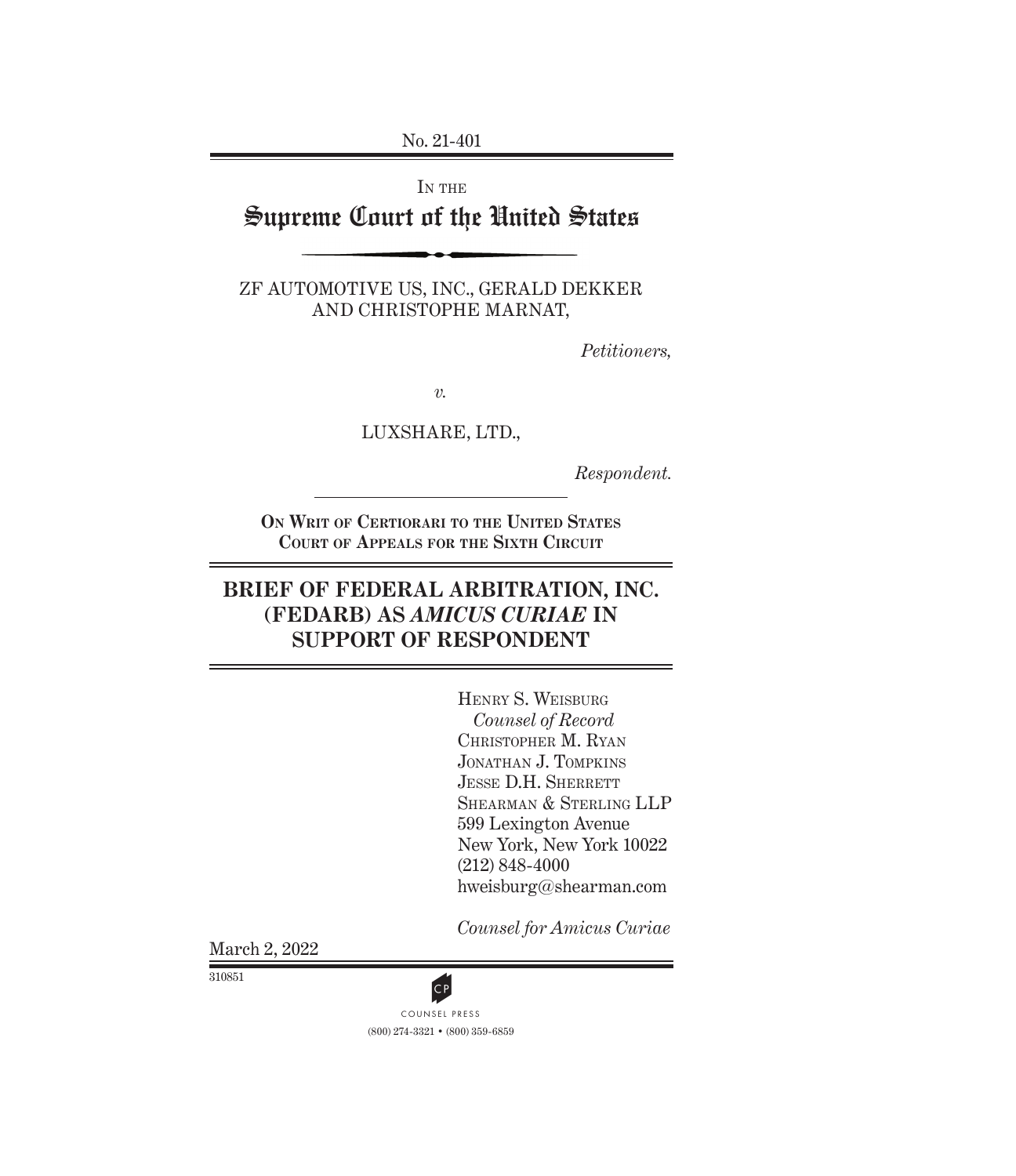No. 21-401

IN THE

# Supreme Court of the United States

ZF AUTOMOTIVE US, INC., GERALD DEKKER AND CHRISTOPHE MARNAT,

*Petitioners,*

*v.*

LUXSHARE, LTD.,

*Respondent.*

**On Writ of Certiorari to the United States Court of Appeals for the Sixth Circuit**

### **BRIEF OF FEDERAL ARBITRATION, INC. (FEDARB) AS** *AMICUS CURIAE* **IN SUPPORT OF RESPONDENT**

Henry S. Weisburg *Counsel of Record* Christopher M. Ryan Jonathan J. Tompkins JESSE D.H. SHERRETT SHEARMAN & STERLING LLP 599 Lexington Avenue New York, New York 10022 (212) 848-4000 hweisburg@shearman.com

*Counsel for Amicus Curiae*

March 2, 2022

310851



(800) 274-3321 • (800) 359-6859 CP<br>COUNSEL PRESS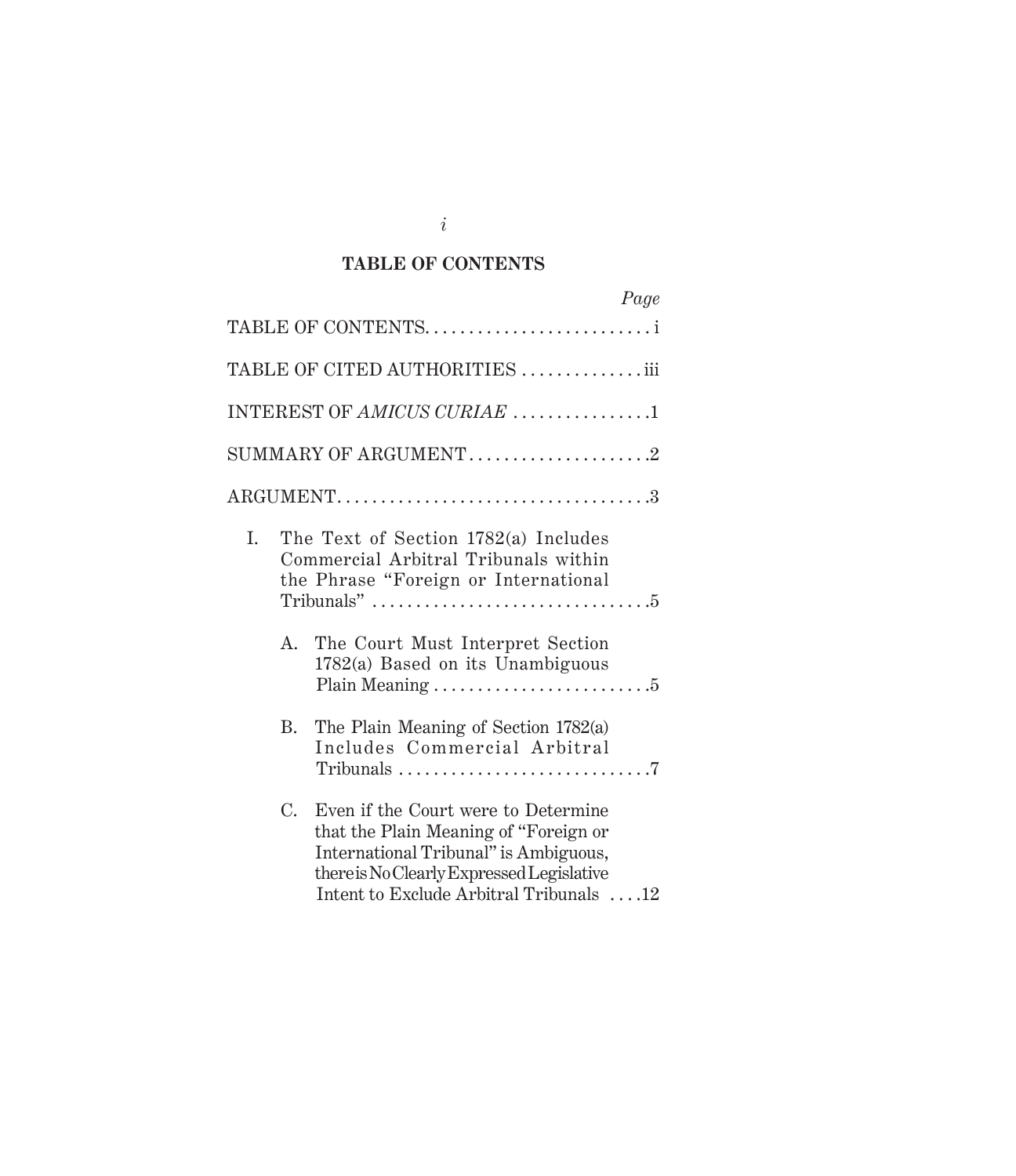### **TABLE OF CONTENTS**

|    |             | Page                                                                                                                                                                                                          |
|----|-------------|---------------------------------------------------------------------------------------------------------------------------------------------------------------------------------------------------------------|
|    |             | TABLE OF CONTENTSi                                                                                                                                                                                            |
|    |             | TABLE OF CITED AUTHORITIES iii                                                                                                                                                                                |
|    |             | INTEREST OF AMICUS CURIAE 1                                                                                                                                                                                   |
|    |             |                                                                                                                                                                                                               |
|    |             |                                                                                                                                                                                                               |
| I. |             | The Text of Section 1782(a) Includes<br>Commercial Arbitral Tribunals within<br>the Phrase "Foreign or International                                                                                          |
|    | A.          | The Court Must Interpret Section<br>1782(a) Based on its Unambiguous                                                                                                                                          |
|    | В.          | The Plain Meaning of Section 1782(a)<br>Includes Commercial Arbitral<br>Tribunals $\ldots \ldots \ldots \ldots \ldots \ldots \ldots \ldots \ldots$                                                            |
|    | $C_{\cdot}$ | Even if the Court were to Determine<br>that the Plain Meaning of "Foreign or<br>International Tribunal" is Ambiguous,<br>there is No Clearly Expressed Legislative<br>Intent to Exclude Arbitral Tribunals 12 |

*i*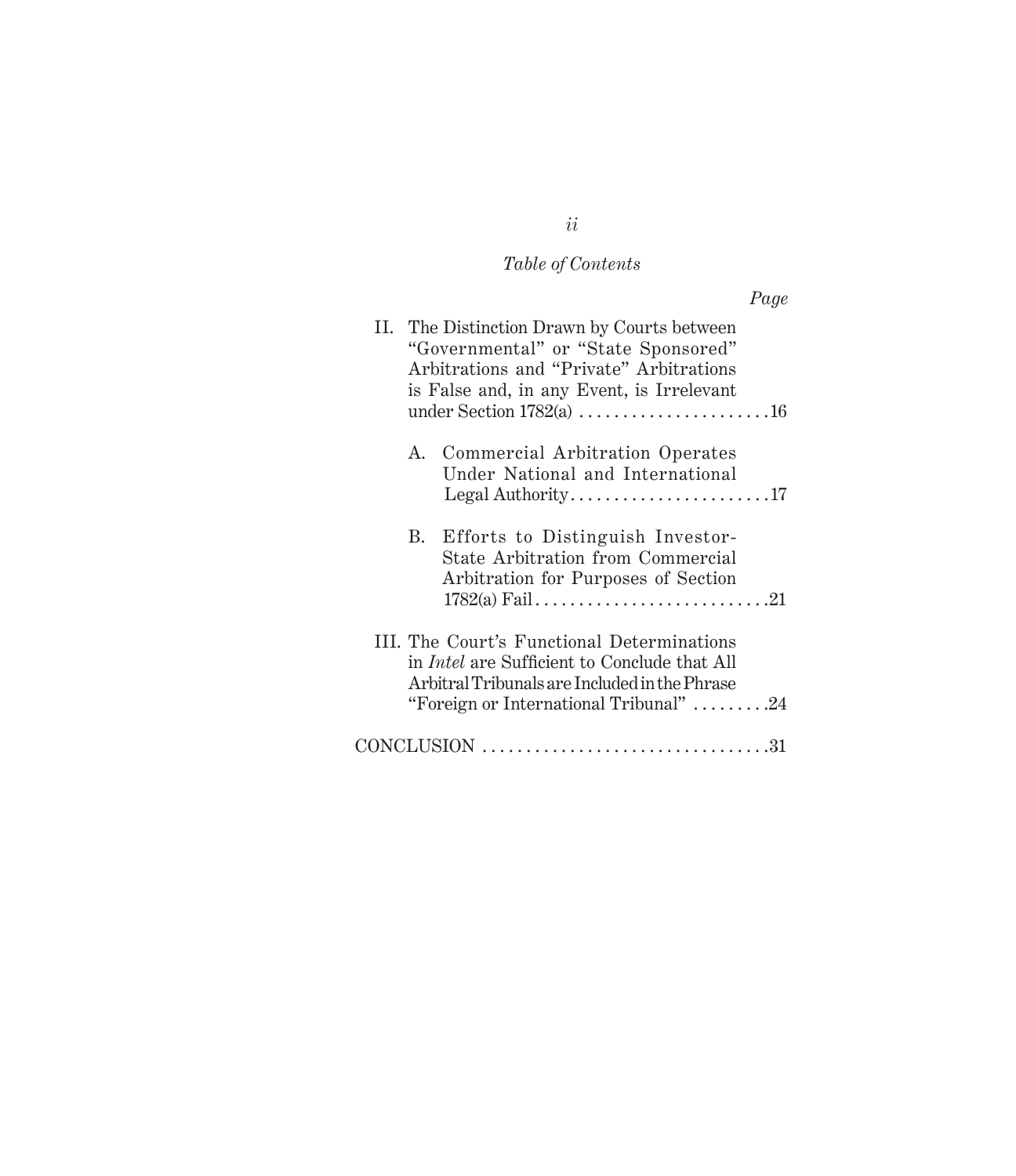# *Table of Contents*

|                                                                                                                                                                                              | Page |
|----------------------------------------------------------------------------------------------------------------------------------------------------------------------------------------------|------|
| II. The Distinction Drawn by Courts between<br>"Governmental" or "State Sponsored"<br>Arbitrations and "Private" Arbitrations<br>is False and, in any Event, is Irrelevant                   |      |
| A. Commercial Arbitration Operates<br>Under National and International                                                                                                                       |      |
| B. Efforts to Distinguish Investor-<br>State Arbitration from Commercial<br>Arbitration for Purposes of Section                                                                              |      |
| III. The Court's Functional Determinations<br>in <i>Intel</i> are Sufficient to Conclude that All<br>Arbitral Tribunals are Included in the Phrase<br>"Foreign or International Tribunal" 24 |      |
| $CONCLUSION \dots 31$                                                                                                                                                                        |      |

# *ii*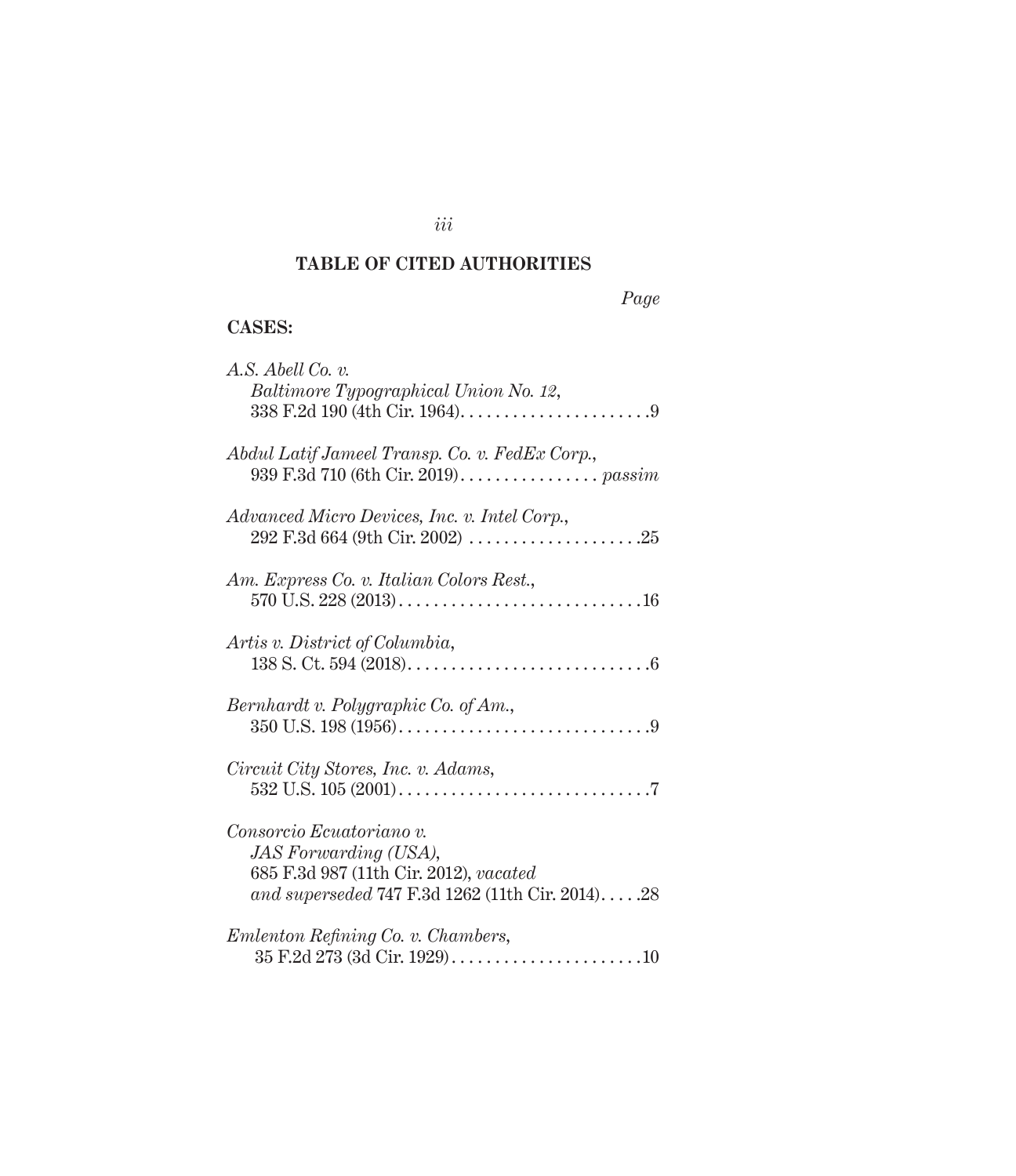### **TABLE OF CITED AUTHORITIES**

### *Page*

### **Cases:**

| A.S. Abell Co. v.<br>Baltimore Typographical Union No. 12,                                                                                              |
|---------------------------------------------------------------------------------------------------------------------------------------------------------|
| Abdul Latif Jameel Transp. Co. v. FedEx Corp.,<br>939 F.3d 710 (6th Cir. 2019). passim                                                                  |
| Advanced Micro Devices, Inc. v. Intel Corp.,                                                                                                            |
| Am. Express Co. v. Italian Colors Rest.,                                                                                                                |
| Artis v. District of Columbia,                                                                                                                          |
| Bernhardt v. Polygraphic Co. of Am.,                                                                                                                    |
| Circuit City Stores, Inc. v. Adams,                                                                                                                     |
| Consorcio Ecuatoriano v.<br><i>JAS Forwarding (USA),</i><br>685 F.3d 987 (11th Cir. 2012), vacated<br>and superseded 747 F.3d $1262$ (11th Cir. 2014)28 |
| Emlenton Refining Co. v. Chambers,                                                                                                                      |

*iii*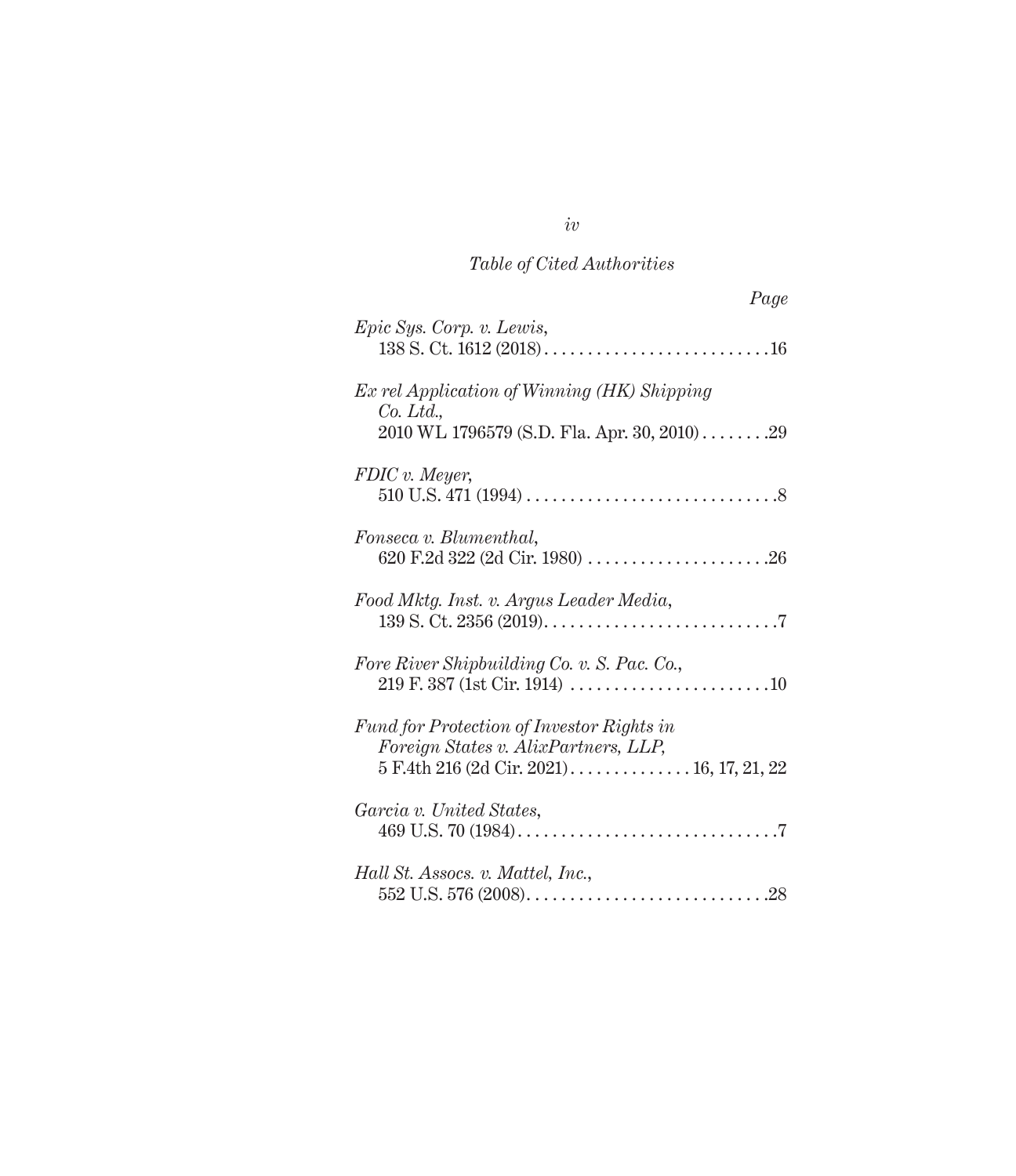| Page                                                                                                   |
|--------------------------------------------------------------------------------------------------------|
| Epic Sys. Corp. v. Lewis,                                                                              |
| Ex rel Application of Winning (HK) Shipping<br>Co. Ltd.<br>2010 WL 1796579 (S.D. Fla. Apr. 30, 2010)29 |
| FDIC v. Meyer,                                                                                         |
| Fonseca v. Blumenthal,                                                                                 |
| Food Mktg. Inst. v. Argus Leader Media,                                                                |
| Fore River Shipbuilding Co. v. S. Pac. Co.,                                                            |
| Fund for Protection of Investor Rights in<br>Foreign States v. AlixPartners, LLP,                      |
| Garcia v. United States,                                                                               |
| Hall St. Assocs. v. Mattel, Inc.,                                                                      |

*iv*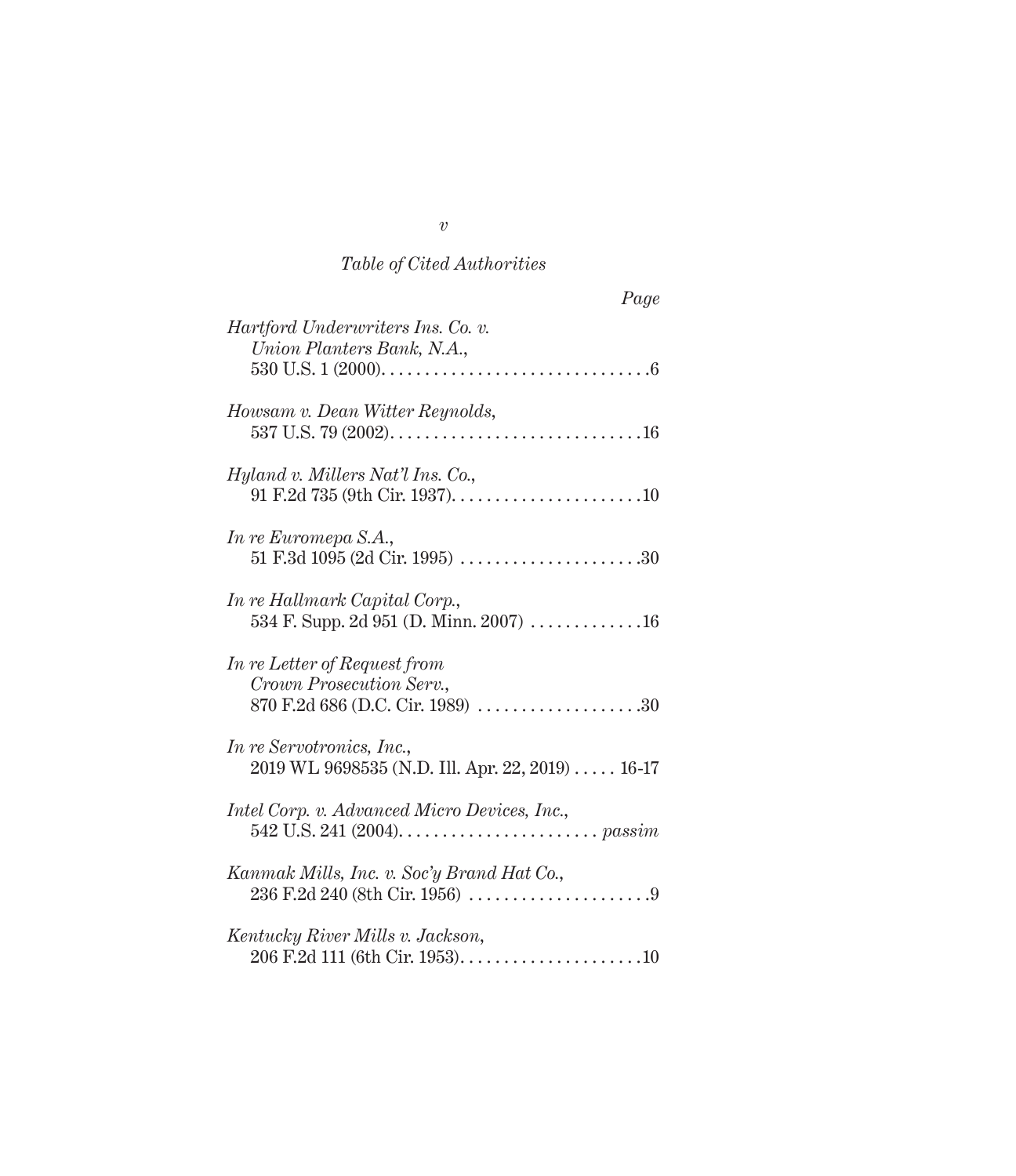| Page                                                                                              |
|---------------------------------------------------------------------------------------------------|
| Hartford Underwriters Ins. Co. v.<br>Union Planters Bank, N.A.,                                   |
| Howsam v. Dean Witter Reynolds,                                                                   |
| Hyland v. Millers Nat'l Ins. Co.,                                                                 |
| In re Euromepa S.A.,                                                                              |
| In re Hallmark Capital Corp.,<br>534 F. Supp. 2d 951 (D. Minn. 2007) $\dots \dots \dots \dots 16$ |
| In re Letter of Request from<br>Crown Prosecution Serv.,<br>870 F.2d 686 (D.C. Cir. 1989) 30      |
| In re Servotronics, Inc.,<br>2019 WL 9698535 (N.D. Ill. Apr. 22, 2019) 16-17                      |
| Intel Corp. v. Advanced Micro Devices, Inc.,                                                      |
| Kanmak Mills, Inc. v. Soc'y Brand Hat Co.,                                                        |
| Kentucky River Mills v. Jackson,                                                                  |

*v*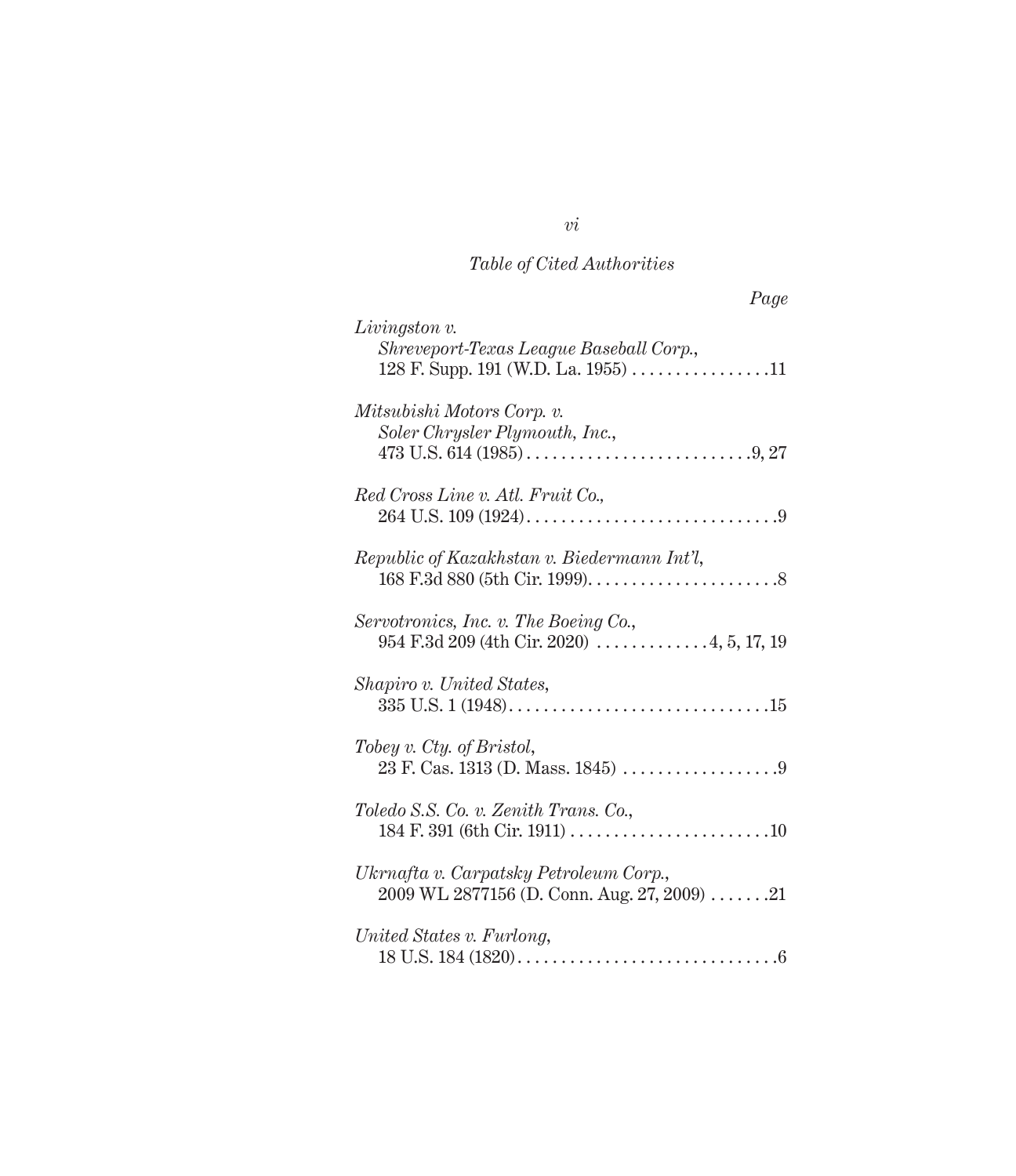| Page                                                                                                            |
|-----------------------------------------------------------------------------------------------------------------|
| $Livingston$ v.<br>Shreveport-Texas League Baseball Corp.,<br>128 F. Supp. 191 (W.D. La. 1955) 11               |
| Mitsubishi Motors Corp. v.<br>Soler Chrysler Plymouth, Inc.,                                                    |
| Red Cross Line v. Atl. Fruit Co.,                                                                               |
| Republic of Kazakhstan v. Biedermann Int'l,                                                                     |
| Servotronics, Inc. v. The Boeing Co.,                                                                           |
| Shapiro v. United States,                                                                                       |
| Tobey v. Cty. of Bristol,                                                                                       |
| Toledo S.S. Co. v. Zenith Trans. Co.,                                                                           |
| Ukrnafta v. Carpatsky Petroleum Corp.,<br>$2009 \text{ WL } 2877156 \text{ (D. Conn. Aug. } 27, 2009) \dots 21$ |
| United States v. Furlong,                                                                                       |

*vi*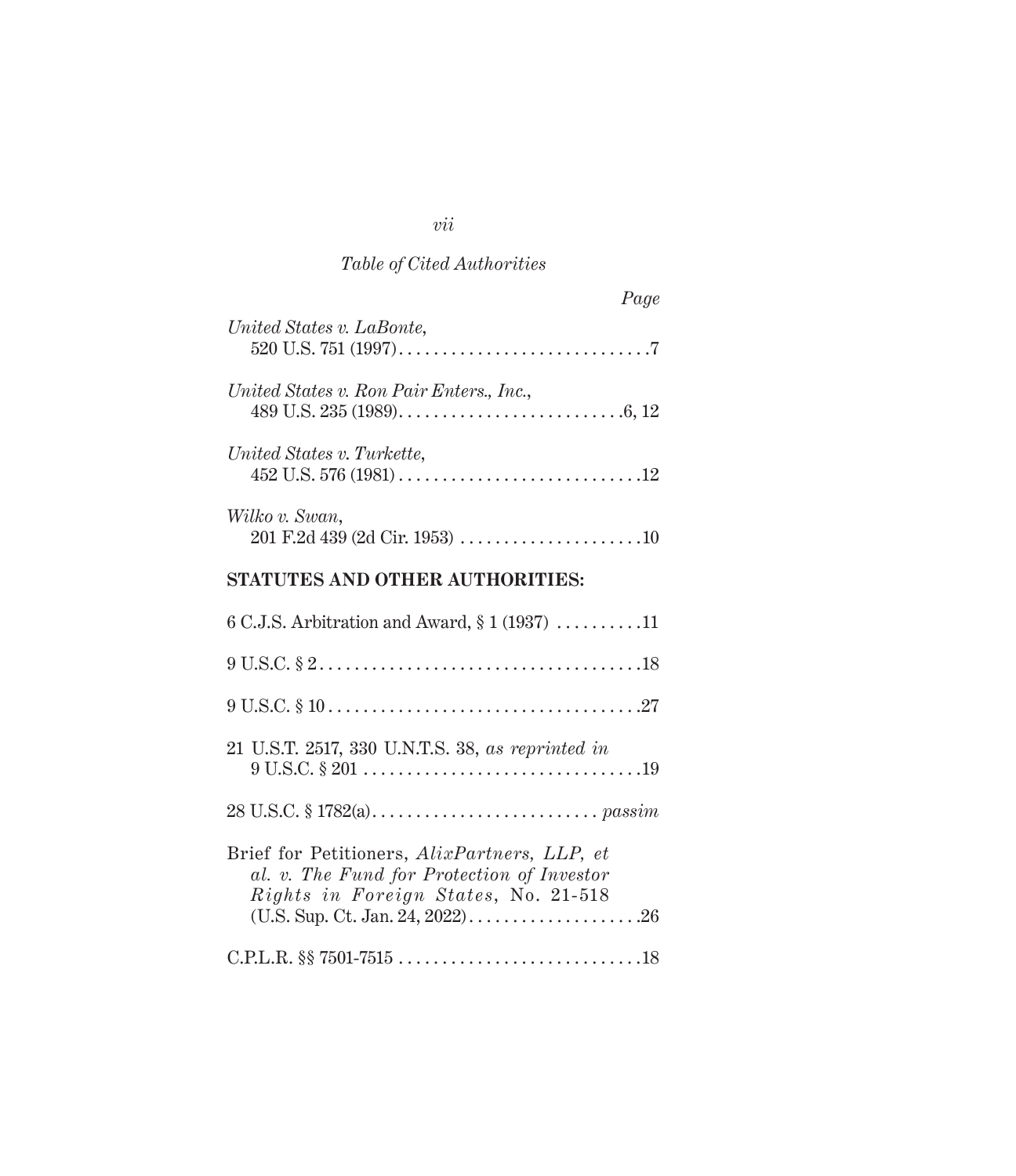# *vii*

# *Table of Cited Authorities*

| Page                                             |
|--------------------------------------------------|
| United States v. LaBonte,                        |
| United States v. Ron Pair Enters., Inc.,         |
| United States v. Turkette,                       |
| Wilko v. Swan,                                   |
| <b>STATUTES AND OTHER AUTHORITIES:</b>           |
| 6 C.J.S. Arbitration and Award, $\S 1 (1937)$ 11 |
|                                                  |
|                                                  |
| 21 U.S.T. 2517, 330 U.N.T.S. 38, as reprinted in |
|                                                  |
| Brief for Petitioners, AlixPartners, LLP, et     |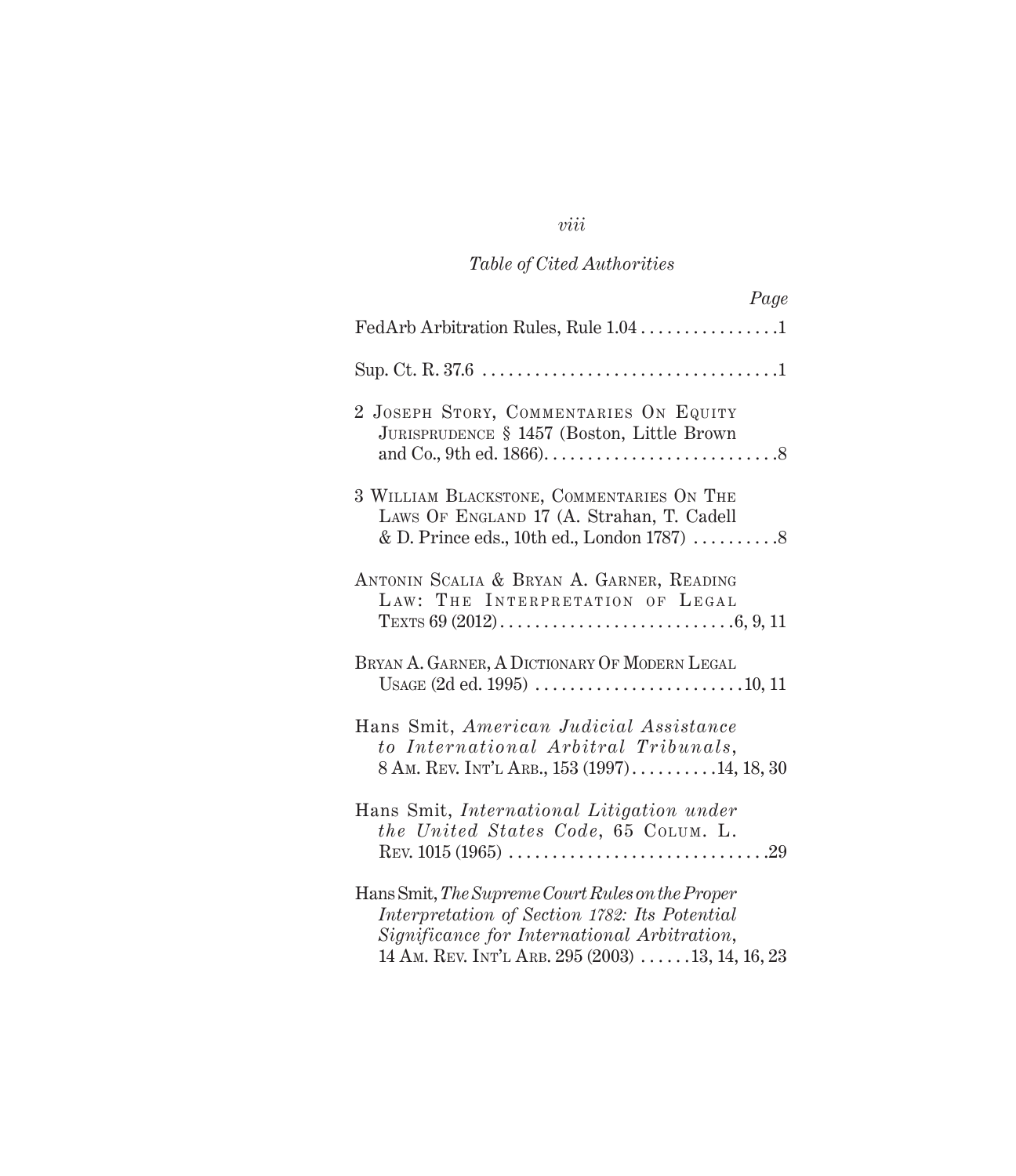### *viii*

# *Table of Cited Authorities*

| Page                                                                                                                                                                                                                 |
|----------------------------------------------------------------------------------------------------------------------------------------------------------------------------------------------------------------------|
| FedArb Arbitration Rules, Rule 1.04 1                                                                                                                                                                                |
|                                                                                                                                                                                                                      |
| 2 JOSEPH STORY, COMMENTARIES ON EQUITY<br>JURISPRUDENCE § 1457 (Boston, Little Brown                                                                                                                                 |
| 3 WILLIAM BLACKSTONE, COMMENTARIES ON THE<br>LAWS OF ENGLAND 17 (A. Strahan, T. Cadell<br>& D. Prince eds., 10th ed., London 1787) $\dots \dots 8$                                                                   |
| ANTONIN SCALIA & BRYAN A. GARNER, READING<br>LAW: THE INTERPRETATION OF LEGAL                                                                                                                                        |
| BRYAN A. GARNER, A DICTIONARY OF MODERN LEGAL                                                                                                                                                                        |
| Hans Smit, American Judicial Assistance<br>to International Arbitral Tribunals,<br>8 AM. REV. INT'L ARB., 153 $(1997)$ 14, 18, 30                                                                                    |
| Hans Smit, International Litigation under<br>the United States Code, 65 COLUM. L.                                                                                                                                    |
| Hans Smit, The Supreme Court Rules on the Proper<br>Interpretation of Section 1782: Its Potential<br>Significance for International Arbitration,<br>14 AM. REV. INT'L ARB. 295 (2003) $\ldots \ldots$ 13, 14, 16, 23 |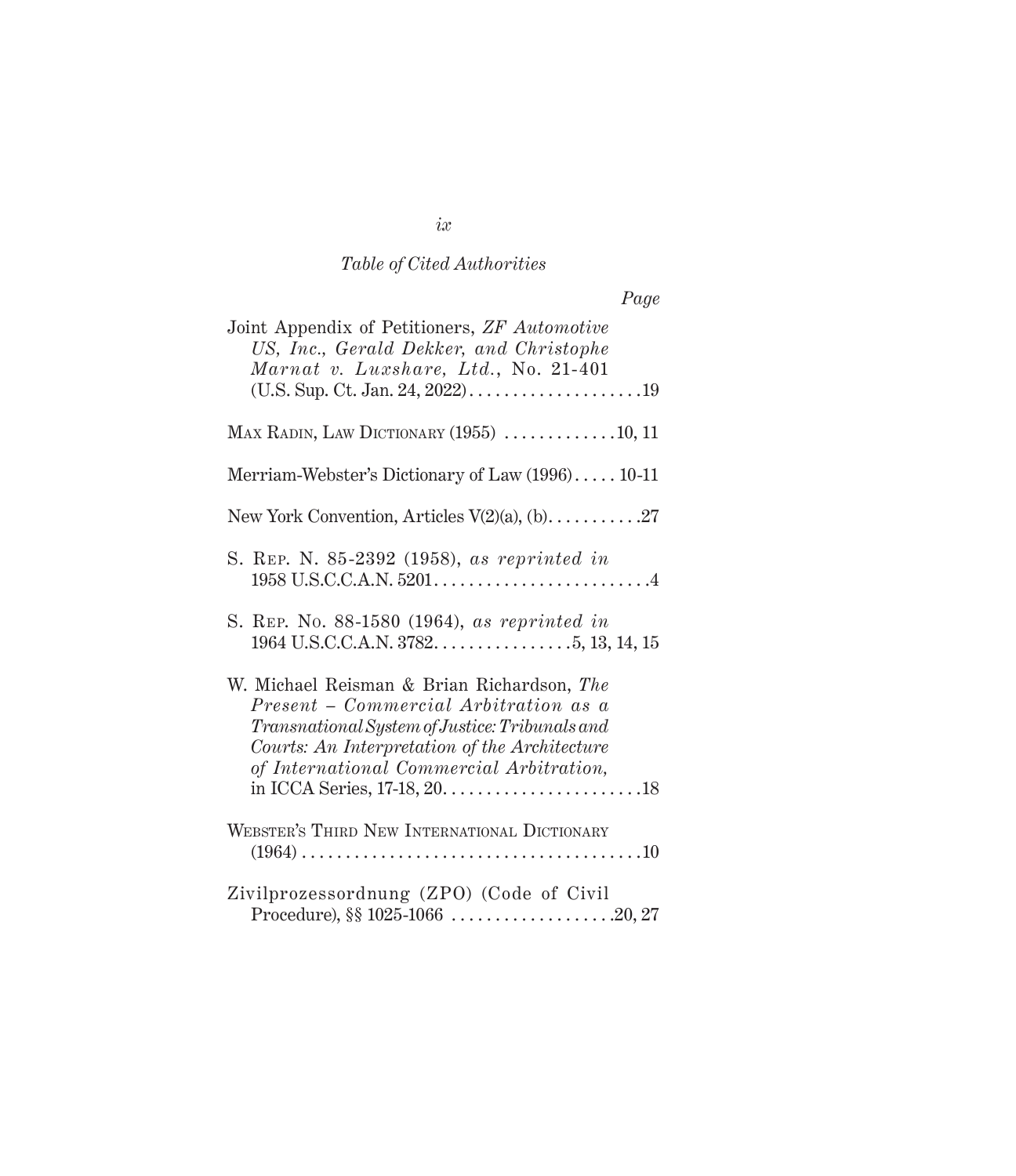| Joint Appendix of Petitioners, ZF Automotive<br>US, Inc., Gerald Dekker, and Christophe<br>Marnat v. Luxshare, Ltd., No. 21-401                                                                                                    |
|------------------------------------------------------------------------------------------------------------------------------------------------------------------------------------------------------------------------------------|
| MAX RADIN, LAW DICTIONARY $(1955)$ 10, 11                                                                                                                                                                                          |
| Merriam-Webster's Dictionary of Law (1996) 10-11                                                                                                                                                                                   |
| New York Convention, Articles $V(2)(a)$ , (b)27                                                                                                                                                                                    |
| S. REP. N. 85-2392 (1958), as reprinted in                                                                                                                                                                                         |
| S. REP. No. 88-1580 (1964), as reprinted in                                                                                                                                                                                        |
| W. Michael Reisman & Brian Richardson, The<br>Present - Commercial Arbitration as a<br>Transnational System of Justice: Tribunals and<br>Courts: An Interpretation of the Architecture<br>of International Commercial Arbitration, |
| WEBSTER'S THIRD NEW INTERNATIONAL DICTIONARY                                                                                                                                                                                       |
| Zivilprozessordnung (ZPO) (Code of Civil<br>Procedure), §§ 1025-1066 20, 27                                                                                                                                                        |

*ix*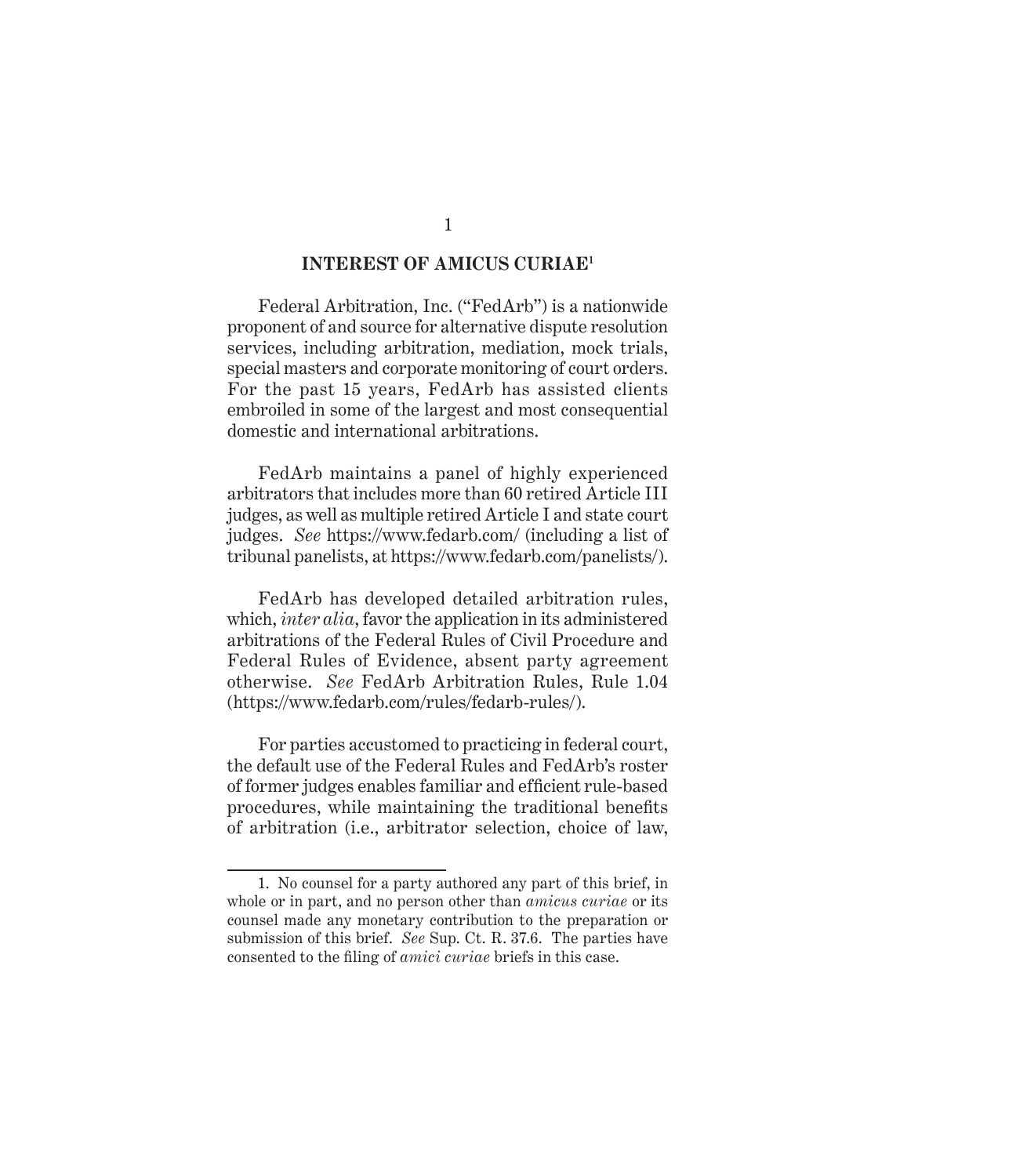#### **INTEREST OF AMICUS CURIAE1**

Federal Arbitration, Inc. ("FedArb") is a nationwide proponent of and source for alternative dispute resolution services, including arbitration, mediation, mock trials, special masters and corporate monitoring of court orders. For the past 15 years, FedArb has assisted clients embroiled in some of the largest and most consequential domestic and international arbitrations.

FedArb maintains a panel of highly experienced arbitrators that includes more than 60 retired Article III judges, as well as multiple retired Article I and state court judges. *See* https://www.fedarb.com/ (including a list of tribunal panelists, at https://www.fedarb.com/panelists/).

FedArb has developed detailed arbitration rules, which, *inter alia*, favor the application in its administered arbitrations of the Federal Rules of Civil Procedure and Federal Rules of Evidence, absent party agreement otherwise. *See* FedArb Arbitration Rules, Rule 1.04 (https://www.fedarb.com/rules/fedarb-rules/).

For parties accustomed to practicing in federal court, the default use of the Federal Rules and FedArb's roster of former judges enables familiar and efficient rule-based procedures, while maintaining the traditional benefits of arbitration (i.e., arbitrator selection, choice of law,

<sup>1.</sup> No counsel for a party authored any part of this brief, in whole or in part, and no person other than *amicus curiae* or its counsel made any monetary contribution to the preparation or submission of this brief. *See* Sup. Ct. R. 37.6. The parties have consented to the filing of *amici curiae* briefs in this case.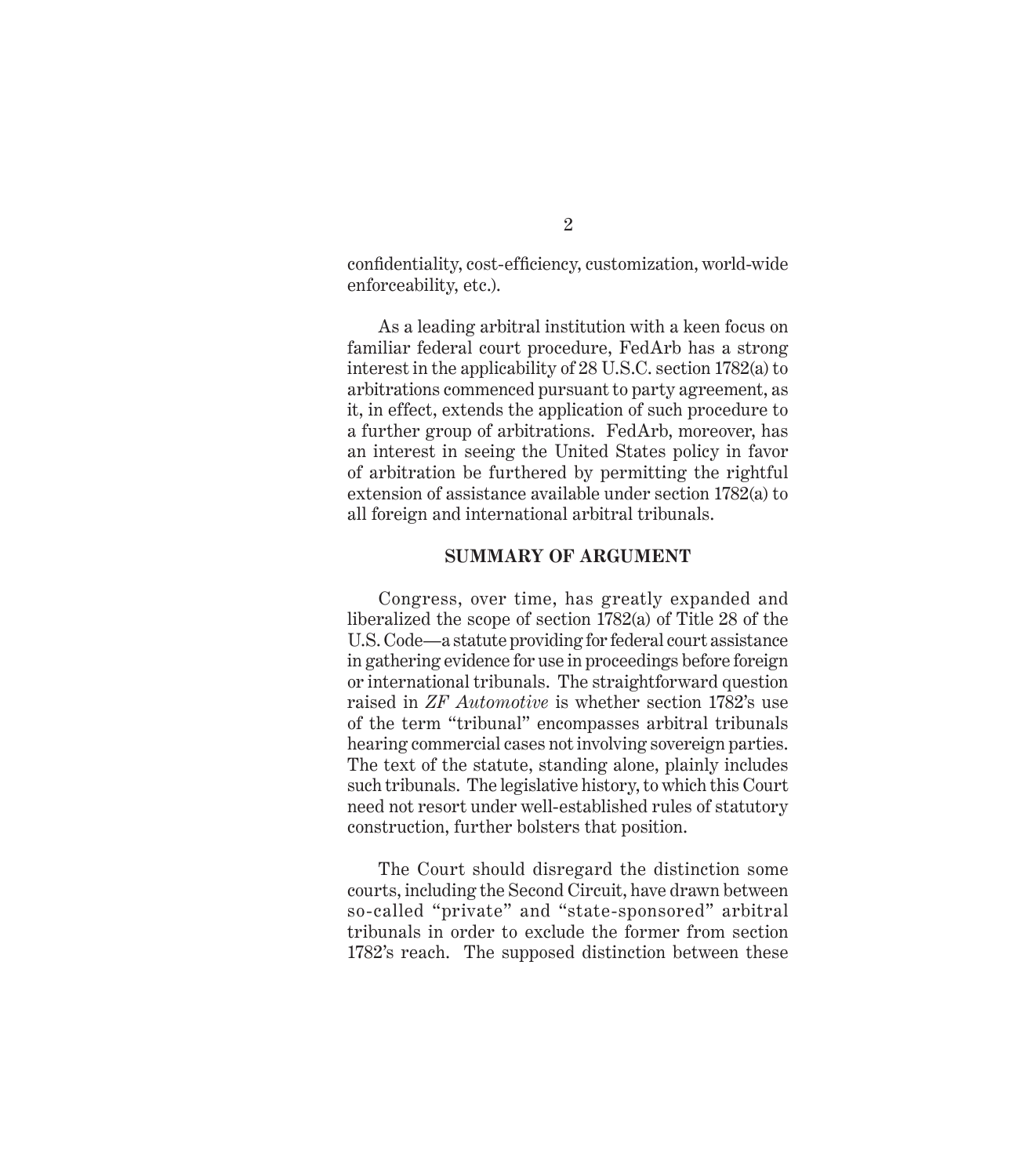confidentiality, cost-efficiency, customization, world-wide enforceability, etc.).

As a leading arbitral institution with a keen focus on familiar federal court procedure, FedArb has a strong interest in the applicability of 28 U.S.C. section 1782(a) to arbitrations commenced pursuant to party agreement, as it, in effect, extends the application of such procedure to a further group of arbitrations. FedArb, moreover, has an interest in seeing the United States policy in favor of arbitration be furthered by permitting the rightful extension of assistance available under section 1782(a) to all foreign and international arbitral tribunals.

#### **SUMMARY OF ARGUMENT**

Congress, over time, has greatly expanded and liberalized the scope of section 1782(a) of Title 28 of the U.S. Code—a statute providing for federal court assistance in gathering evidence for use in proceedings before foreign or international tribunals. The straightforward question raised in *ZF Automotive* is whether section 1782's use of the term "tribunal" encompasses arbitral tribunals hearing commercial cases not involving sovereign parties. The text of the statute, standing alone, plainly includes such tribunals. The legislative history, to which this Court need not resort under well-established rules of statutory construction, further bolsters that position.

The Court should disregard the distinction some courts, including the Second Circuit, have drawn between so-called "private" and "state-sponsored" arbitral tribunals in order to exclude the former from section 1782's reach. The supposed distinction between these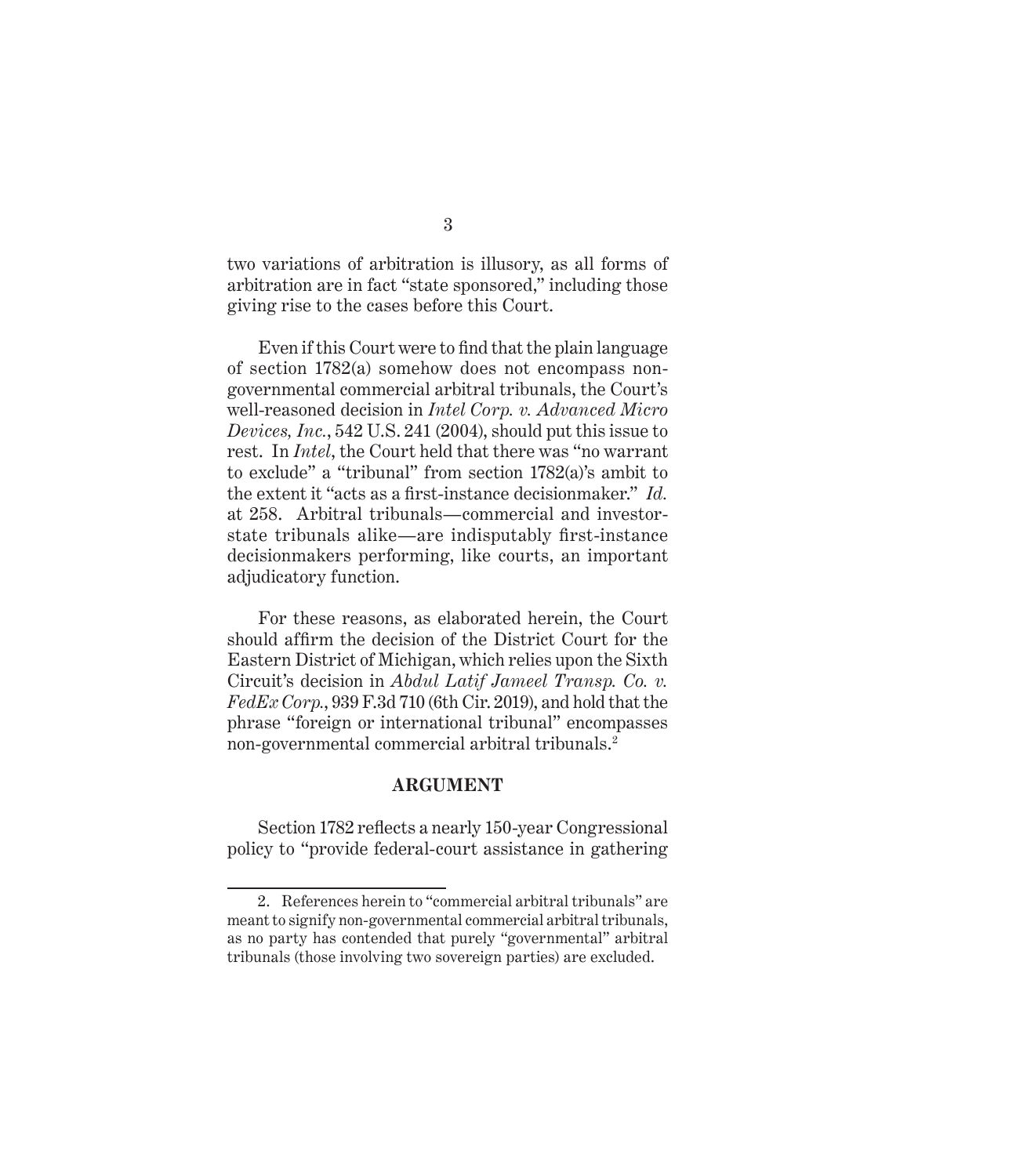two variations of arbitration is illusory, as all forms of arbitration are in fact "state sponsored," including those giving rise to the cases before this Court.

Even if this Court were to find that the plain language of section 1782(a) somehow does not encompass nongovernmental commercial arbitral tribunals, the Court's well-reasoned decision in *Intel Corp. v. Advanced Micro Devices, Inc.*, 542 U.S. 241 (2004), should put this issue to rest. In *Intel*, the Court held that there was "no warrant to exclude" a "tribunal" from section 1782(a)'s ambit to the extent it "acts as a first-instance decisionmaker." *Id.* at 258. Arbitral tribunals—commercial and investorstate tribunals alike—are indisputably first-instance decisionmakers performing, like courts, an important adjudicatory function.

For these reasons, as elaborated herein, the Court should affirm the decision of the District Court for the Eastern District of Michigan, which relies upon the Sixth Circuit's decision in *Abdul Latif Jameel Transp. Co. v. FedEx Corp.*, 939 F.3d 710 (6th Cir. 2019), and hold that the phrase "foreign or international tribunal" encompasses non-governmental commercial arbitral tribunals.<sup>2</sup>

#### **ARGUMENT**

Section 1782 reflects a nearly 150-year Congressional policy to "provide federal-court assistance in gathering

<sup>2.</sup> References herein to "commercial arbitral tribunals" are meant to signify non-governmental commercial arbitral tribunals, as no party has contended that purely "governmental" arbitral tribunals (those involving two sovereign parties) are excluded.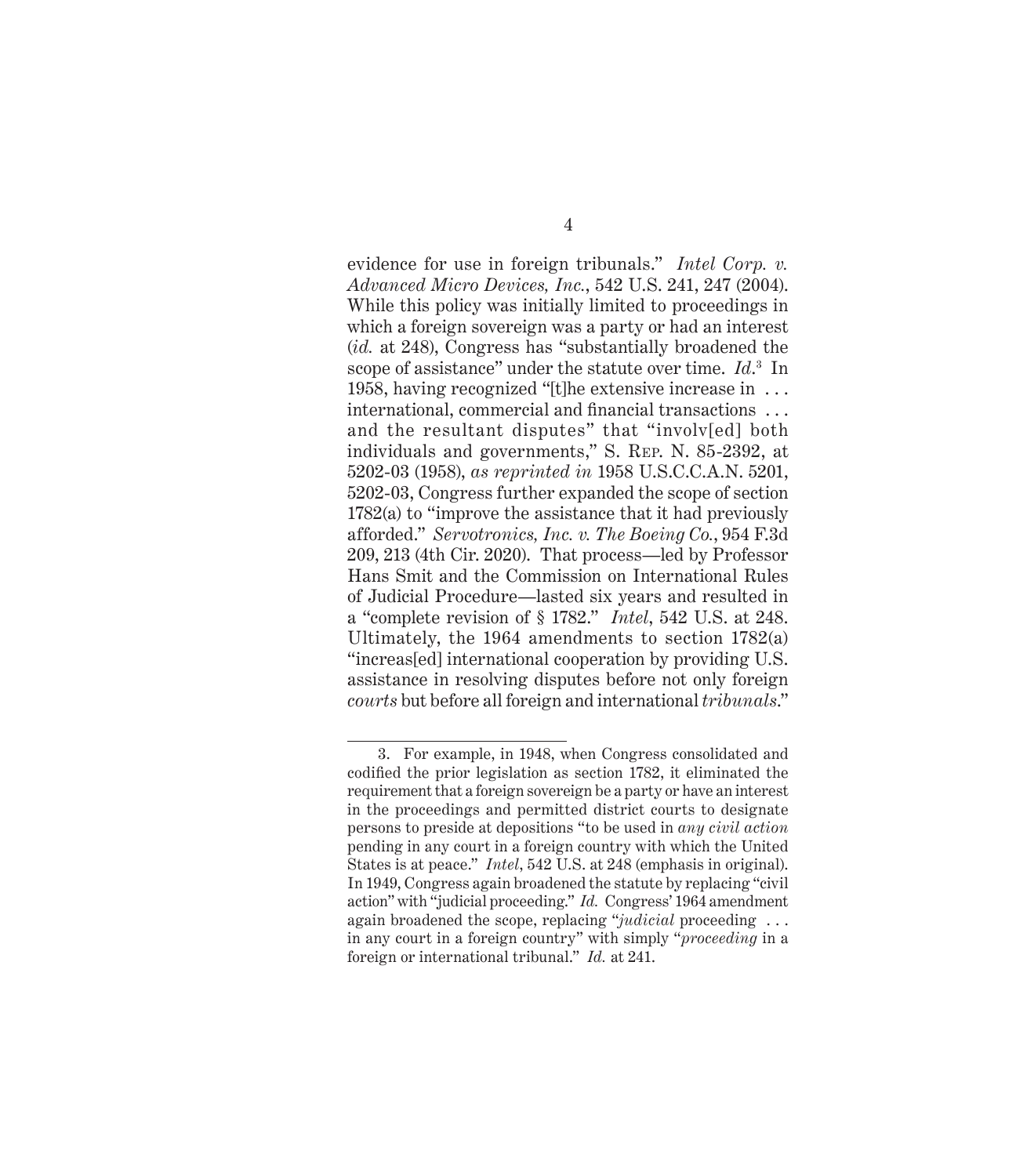evidence for use in foreign tribunals." *Intel Corp. v. Advanced Micro Devices, Inc.*, 542 U.S. 241, 247 (2004). While this policy was initially limited to proceedings in which a foreign sovereign was a party or had an interest (*id.* at 248), Congress has "substantially broadened the scope of assistance" under the statute over time. *Id*. 3 In 1958, having recognized "[t]he extensive increase in . . . international, commercial and financial transactions . . . and the resultant disputes" that "involv[ed] both individuals and governments," S. Rep. N. 85-2392, at 5202-03 (1958), *as reprinted in* 1958 U.S.C.C.A.N. 5201, 5202-03, Congress further expanded the scope of section 1782(a) to "improve the assistance that it had previously afforded." *Servotronics, Inc. v. The Boeing Co.*, 954 F.3d 209, 213 (4th Cir. 2020). That process—led by Professor Hans Smit and the Commission on International Rules of Judicial Procedure—lasted six years and resulted in a "complete revision of § 1782." *Intel*, 542 U.S. at 248. Ultimately, the 1964 amendments to section 1782(a) "increas[ed] international cooperation by providing U.S. assistance in resolving disputes before not only foreign *courts* but before all foreign and international *tribunals*."

<sup>3.</sup> For example, in 1948, when Congress consolidated and codified the prior legislation as section 1782, it eliminated the requirement that a foreign sovereign be a party or have an interest in the proceedings and permitted district courts to designate persons to preside at depositions "to be used in *any civil action* pending in any court in a foreign country with which the United States is at peace." *Intel*, 542 U.S. at 248 (emphasis in original). In 1949, Congress again broadened the statute by replacing "civil action" with "judicial proceeding." *Id.* Congress' 1964 amendment again broadened the scope, replacing "*judicial* proceeding . . . in any court in a foreign country" with simply "*proceeding* in a foreign or international tribunal." *Id.* at 241.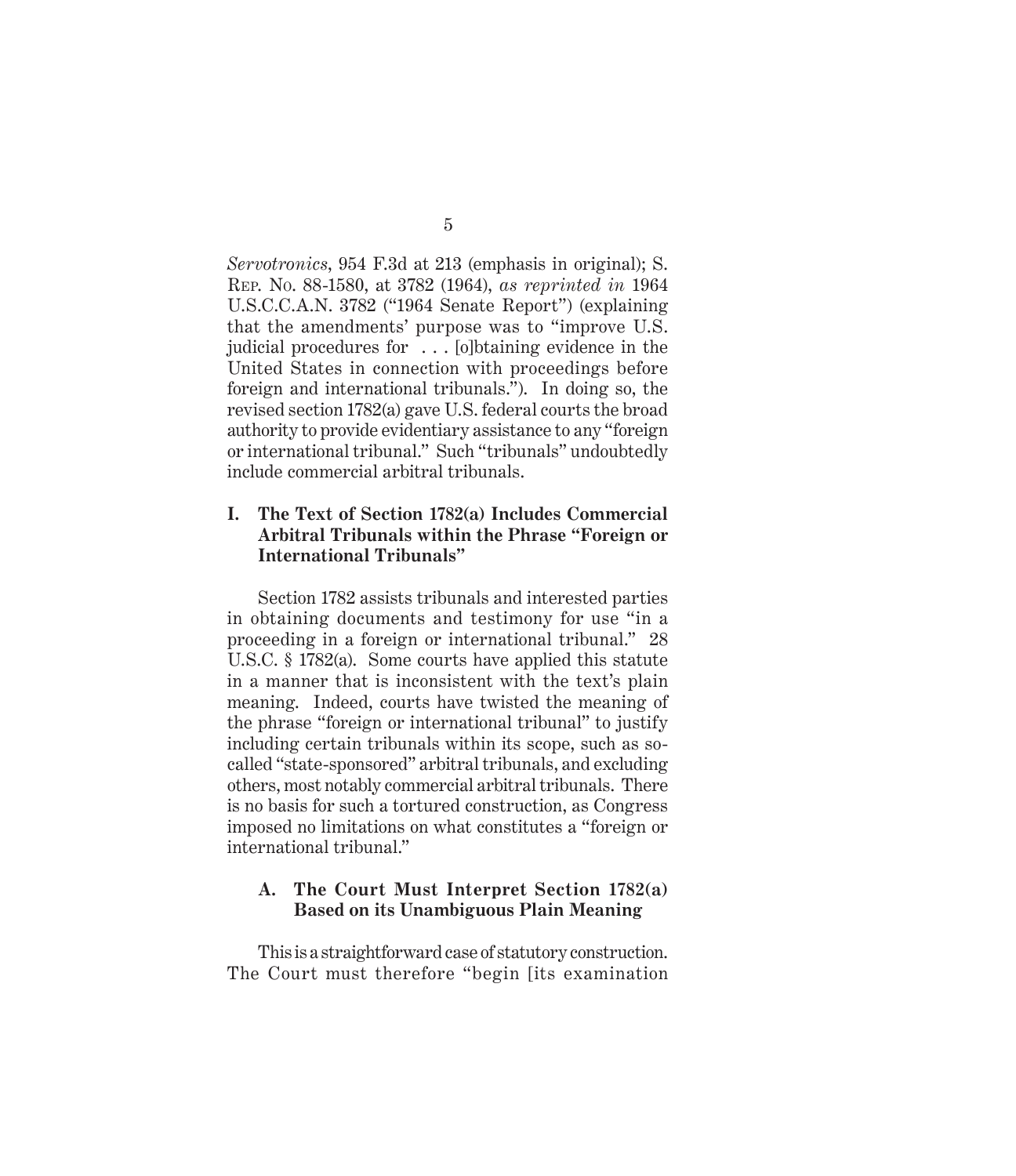*Servotronics*, 954 F.3d at 213 (emphasis in original); S. Rep. No. 88-1580, at 3782 (1964), *as reprinted in* 1964 U.S.C.C.A.N. 3782 ("1964 Senate Report") (explaining that the amendments' purpose was to "improve U.S. judicial procedures for . . . [o]btaining evidence in the United States in connection with proceedings before foreign and international tribunals."). In doing so, the revised section 1782(a) gave U.S. federal courts the broad authority to provide evidentiary assistance to any "foreign or international tribunal." Such "tribunals" undoubtedly include commercial arbitral tribunals.

#### **I. The Text of Section 1782(a) Includes Commercial Arbitral Tribunals within the Phrase "Foreign or International Tribunals"**

Section 1782 assists tribunals and interested parties in obtaining documents and testimony for use "in a proceeding in a foreign or international tribunal." 28 U.S.C. § 1782(a). Some courts have applied this statute in a manner that is inconsistent with the text's plain meaning. Indeed, courts have twisted the meaning of the phrase "foreign or international tribunal" to justify including certain tribunals within its scope, such as socalled "state-sponsored" arbitral tribunals, and excluding others, most notably commercial arbitral tribunals. There is no basis for such a tortured construction, as Congress imposed no limitations on what constitutes a "foreign or international tribunal."

#### **A. The Court Must Interpret Section 1782(a) Based on its Unambiguous Plain Meaning**

This is a straightforward case of statutory construction. The Court must therefore "begin [its examination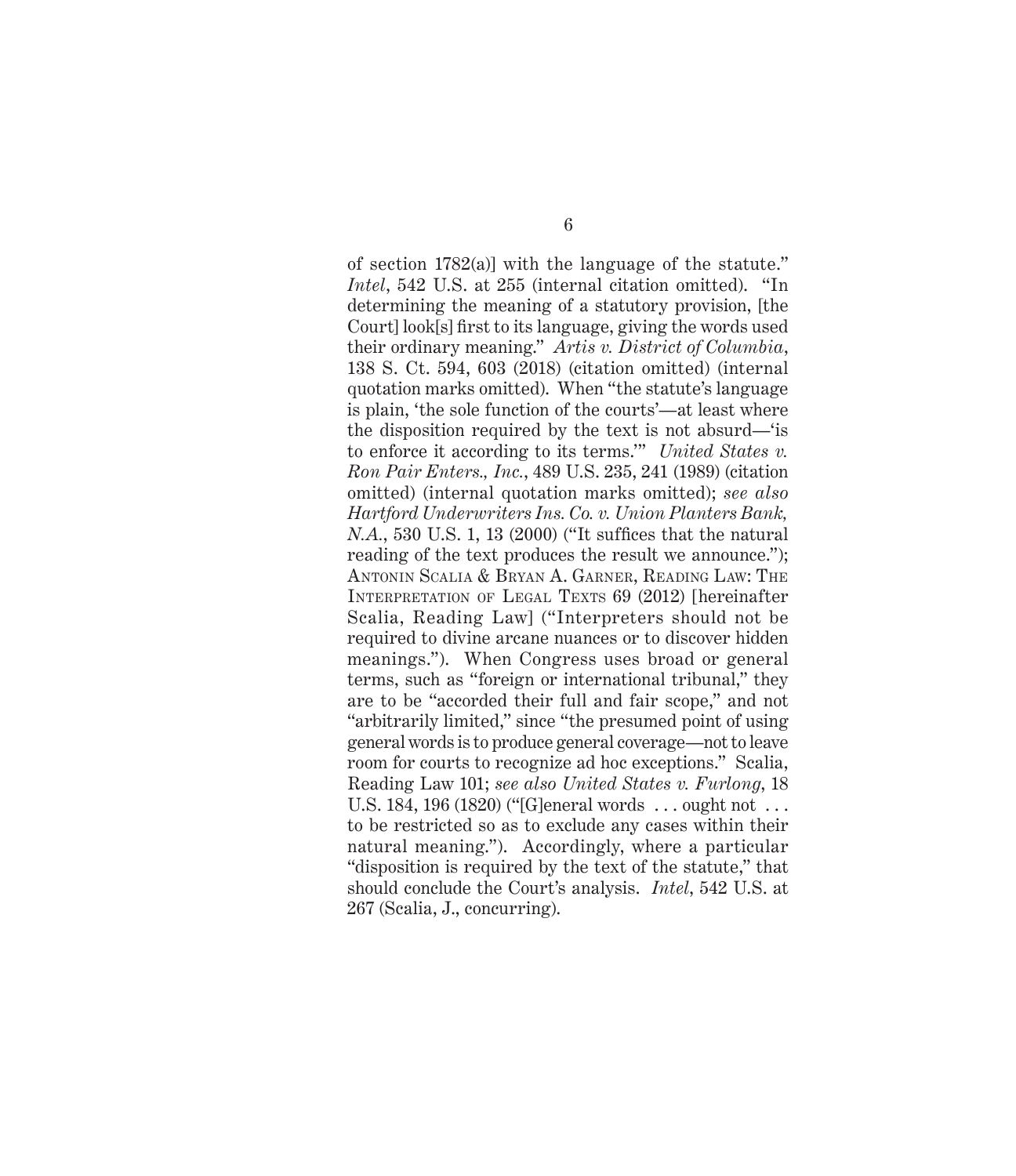of section 1782(a)] with the language of the statute." *Intel*, 542 U.S. at 255 (internal citation omitted). "In determining the meaning of a statutory provision, [the Court] look[s] first to its language, giving the words used their ordinary meaning." *Artis v. District of Columbia*, 138 S. Ct. 594, 603 (2018) (citation omitted) (internal quotation marks omitted). When "the statute's language is plain, 'the sole function of the courts'—at least where the disposition required by the text is not absurd—'is to enforce it according to its terms.'" *United States v. Ron Pair Enters., Inc.*, 489 U.S. 235, 241 (1989) (citation omitted) (internal quotation marks omitted); *see also Hartford Underwriters Ins. Co. v. Union Planters Bank, N.A.*, 530 U.S. 1, 13 (2000) ("It suffices that the natural reading of the text produces the result we announce."); Antonin Scalia & Bryan A. Garner, Reading Law: The INTERPRETATION OF LEGAL TEXTS 69 (2012) [hereinafter Scalia, Reading Law] ("Interpreters should not be required to divine arcane nuances or to discover hidden meanings."). When Congress uses broad or general terms, such as "foreign or international tribunal," they are to be "accorded their full and fair scope," and not "arbitrarily limited," since "the presumed point of using general words is to produce general coverage—not to leave room for courts to recognize ad hoc exceptions." Scalia, Reading Law 101; *see also United States v. Furlong*, 18 U.S. 184, 196 (1820) ("[G]eneral words . . . ought not . . . to be restricted so as to exclude any cases within their natural meaning."). Accordingly, where a particular "disposition is required by the text of the statute," that should conclude the Court's analysis. *Intel*, 542 U.S. at 267 (Scalia, J., concurring).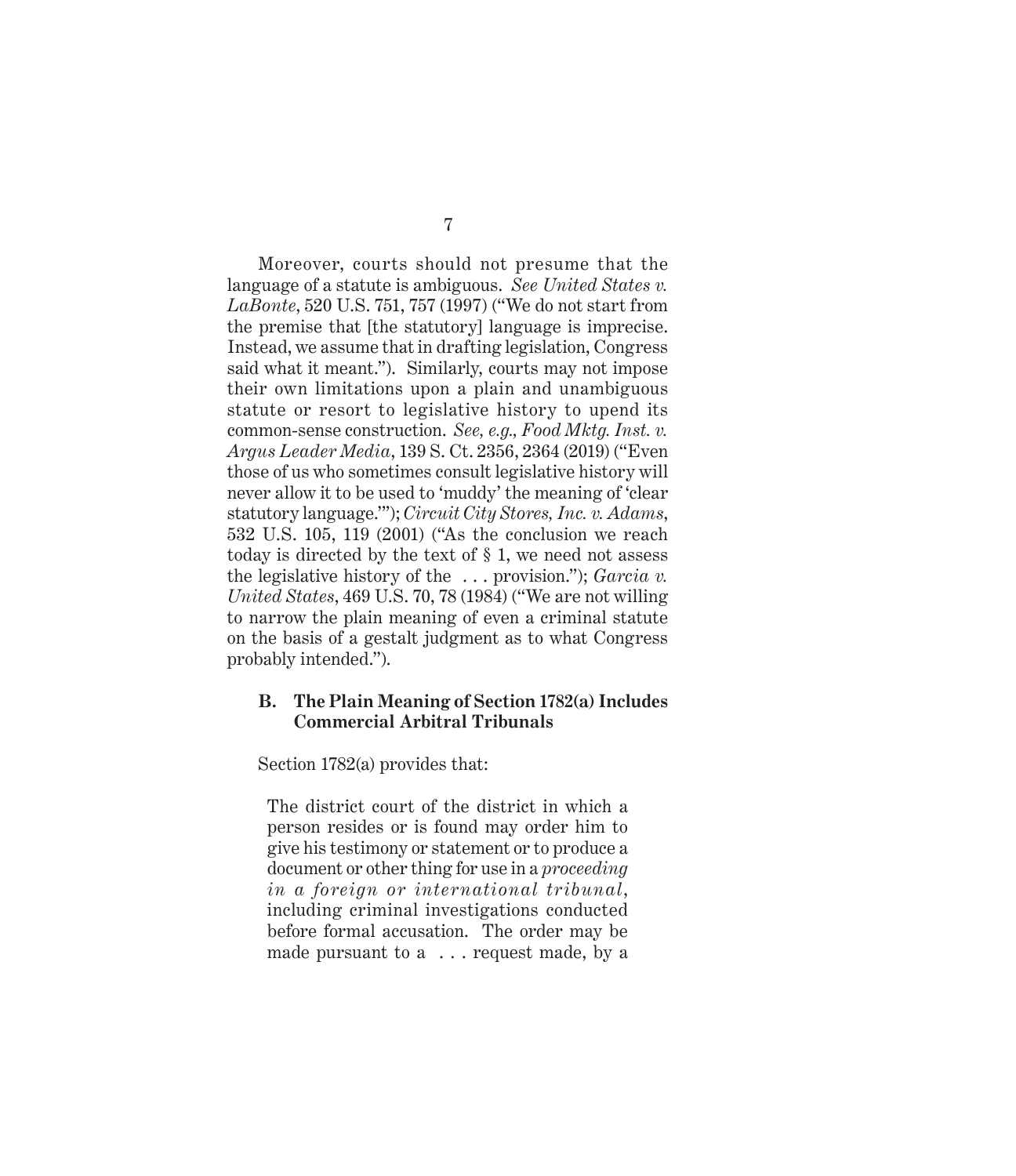Moreover, courts should not presume that the language of a statute is ambiguous. *See United States v. LaBonte*, 520 U.S. 751, 757 (1997) ("We do not start from the premise that [the statutory] language is imprecise. Instead, we assume that in drafting legislation, Congress said what it meant."). Similarly, courts may not impose their own limitations upon a plain and unambiguous statute or resort to legislative history to upend its common-sense construction. *See, e.g., Food Mktg. Inst. v. Argus Leader Media*, 139 S. Ct. 2356, 2364 (2019) ("Even those of us who sometimes consult legislative history will never allow it to be used to 'muddy' the meaning of 'clear statutory language.'"); *Circuit City Stores, Inc. v. Adams*, 532 U.S. 105, 119 (2001) ("As the conclusion we reach today is directed by the text of § 1, we need not assess the legislative history of the . . . provision."); *Garcia v. United States*, 469 U.S. 70, 78 (1984) ("We are not willing to narrow the plain meaning of even a criminal statute on the basis of a gestalt judgment as to what Congress probably intended.").

#### **B. The Plain Meaning of Section 1782(a) Includes Commercial Arbitral Tribunals**

Section 1782(a) provides that:

The district court of the district in which a person resides or is found may order him to give his testimony or statement or to produce a document or other thing for use in a *proceeding in a foreign or international tribunal*, including criminal investigations conducted before formal accusation. The order may be made pursuant to a . . . request made, by a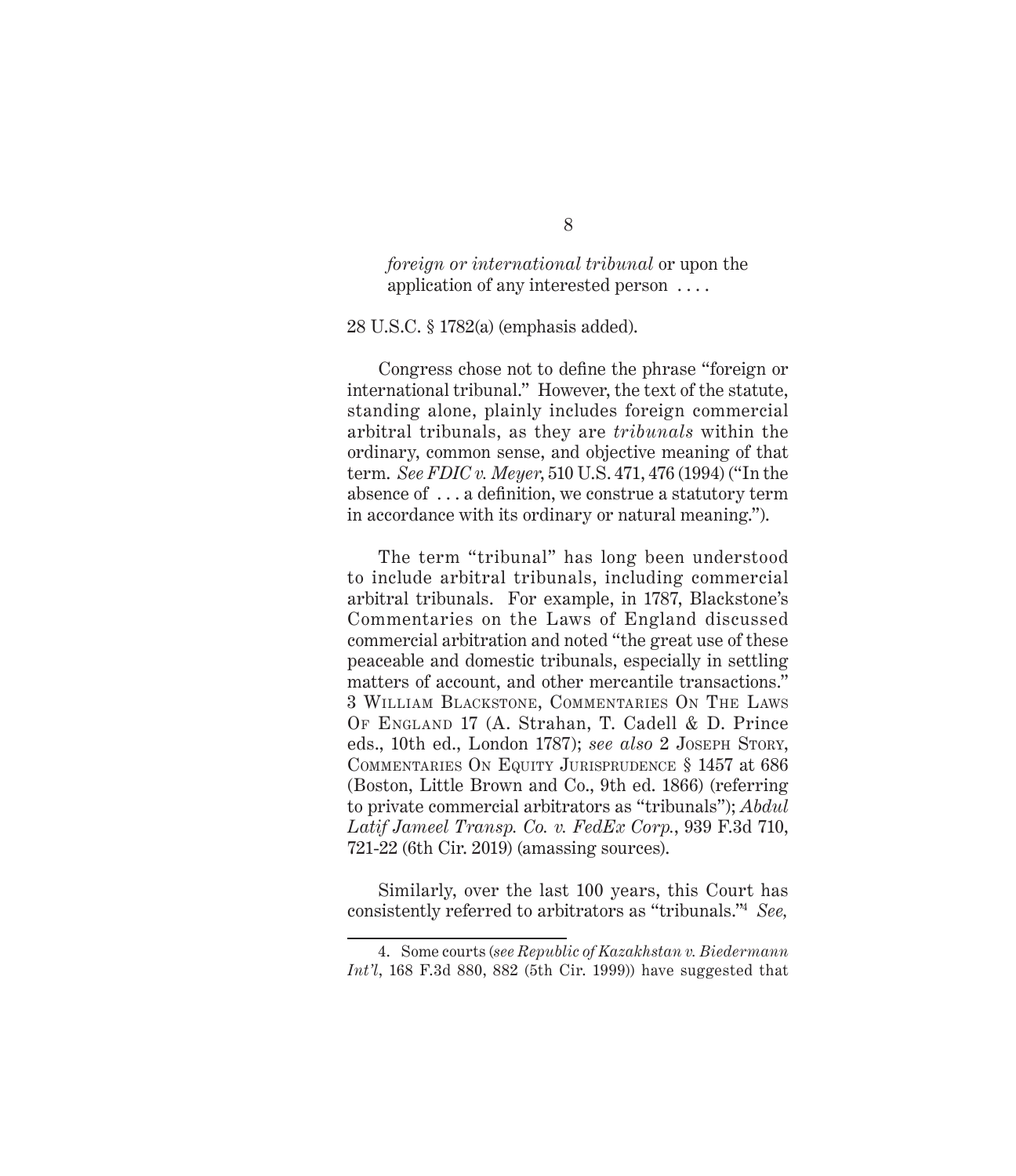*foreign or international tribunal* or upon the application of any interested person . . . .

28 U.S.C. § 1782(a) (emphasis added).

Congress chose not to define the phrase "foreign or international tribunal." However, the text of the statute, standing alone, plainly includes foreign commercial arbitral tribunals, as they are *tribunals* within the ordinary, common sense, and objective meaning of that term. *See FDIC v. Meyer*, 510 U.S. 471, 476 (1994) ("In the absence of . . . a definition, we construe a statutory term in accordance with its ordinary or natural meaning.").

The term "tribunal" has long been understood to include arbitral tribunals, including commercial arbitral tribunals. For example, in 1787, Blackstone's Commentaries on the Laws of England discussed commercial arbitration and noted "the great use of these peaceable and domestic tribunals, especially in settling matters of account, and other mercantile transactions." 3 William Blackstone, Commentaries On The Laws Of England 17 (A. Strahan, T. Cadell & D. Prince eds., 10th ed., London 1787); *see also* 2 JOSEPH STORY, Commentaries On Equity Jurisprudence § 1457 at 686 (Boston, Little Brown and Co., 9th ed. 1866) (referring to private commercial arbitrators as "tribunals"); *Abdul Latif Jameel Transp. Co. v. FedEx Corp.*, 939 F.3d 710, 721-22 (6th Cir. 2019) (amassing sources).

Similarly, over the last 100 years, this Court has consistently referred to arbitrators as "tribunals."<sup>4</sup> *See,* 

<sup>4.</sup> Some courts (*see Republic of Kazakhstan v. Biedermann Int'l*, 168 F.3d 880, 882 (5th Cir. 1999)) have suggested that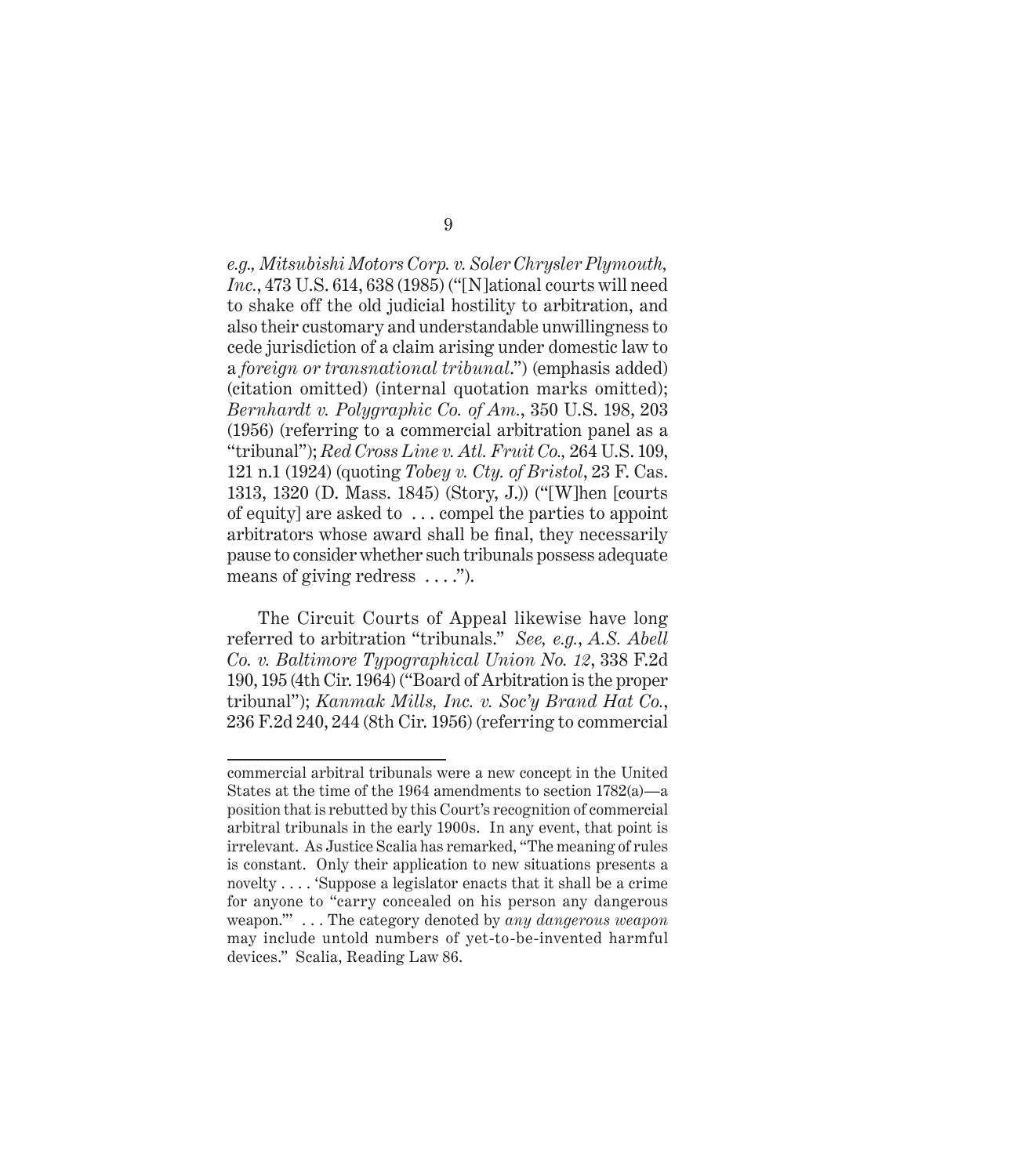*e.g., Mitsubishi Motors Corp. v. Soler Chrysler Plymouth, Inc.*, 473 U.S. 614, 638 (1985) ("[N]ational courts will need to shake off the old judicial hostility to arbitration, and also their customary and understandable unwillingness to cede jurisdiction of a claim arising under domestic law to a *foreign or transnational tribunal*.") (emphasis added) (citation omitted) (internal quotation marks omitted); *Bernhardt v. Polygraphic Co. of Am.*, 350 U.S. 198, 203 (1956) (referring to a commercial arbitration panel as a "tribunal"); *Red Cross Line v. Atl. Fruit Co.,* 264 U.S. 109, 121 n.1 (1924) (quoting *Tobey v. Cty. of Bristol*, 23 F. Cas. 1313, 1320 (D. Mass. 1845) (Story, J.)) ("[W]hen [courts of equity] are asked to . . . compel the parties to appoint arbitrators whose award shall be final, they necessarily pause to consider whether such tribunals possess adequate means of giving redress ....").

The Circuit Courts of Appeal likewise have long referred to arbitration "tribunals." *See, e.g.*, *A.S. Abell Co. v. Baltimore Typographical Union No. 12*, 338 F.2d 190, 195 (4th Cir. 1964) ("Board of Arbitration is the proper tribunal"); *Kanmak Mills, Inc. v. Soc'y Brand Hat Co.*, 236 F.2d 240, 244 (8th Cir. 1956) (referring to commercial

commercial arbitral tribunals were a new concept in the United States at the time of the 1964 amendments to section 1782(a)—a position that is rebutted by this Court's recognition of commercial arbitral tribunals in the early 1900s. In any event, that point is irrelevant. As Justice Scalia has remarked, "The meaning of rules is constant. Only their application to new situations presents a novelty . . . . 'Suppose a legislator enacts that it shall be a crime for anyone to "carry concealed on his person any dangerous weapon."' . . . The category denoted by *any dangerous weapon* may include untold numbers of yet-to-be-invented harmful devices." Scalia, Reading Law 86.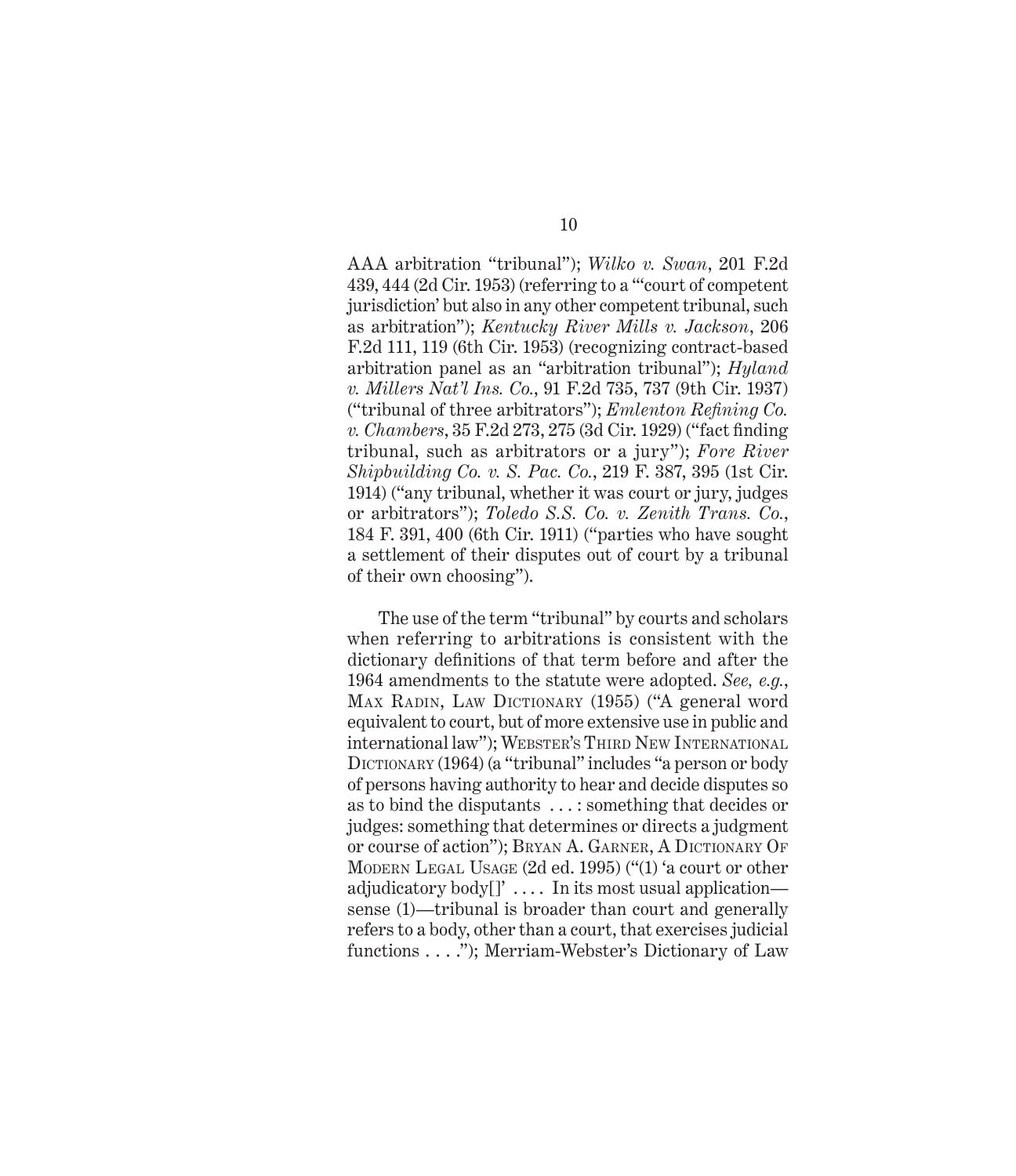AAA arbitration "tribunal"); *Wilko v. Swan*, 201 F.2d 439, 444 (2d Cir. 1953) (referring to a "'court of competent jurisdiction' but also in any other competent tribunal, such as arbitration"); *Kentucky River Mills v. Jackson*, 206 F.2d 111, 119 (6th Cir. 1953) (recognizing contract-based arbitration panel as an "arbitration tribunal"); *Hyland v. Millers Nat'l Ins. Co.*, 91 F.2d 735, 737 (9th Cir. 1937) ("tribunal of three arbitrators"); *Emlenton Refining Co. v. Chambers*, 35 F.2d 273, 275 (3d Cir. 1929) ("fact finding tribunal, such as arbitrators or a jury"); *Fore River Shipbuilding Co. v. S. Pac. Co.*, 219 F. 387, 395 (1st Cir. 1914) ("any tribunal, whether it was court or jury, judges or arbitrators"); *Toledo S.S. Co. v. Zenith Trans. Co.*, 184 F. 391, 400 (6th Cir. 1911) ("parties who have sought a settlement of their disputes out of court by a tribunal of their own choosing").

The use of the term "tribunal" by courts and scholars when referring to arbitrations is consistent with the dictionary definitions of that term before and after the 1964 amendments to the statute were adopted. *See, e.g.*, MAX RADIN, LAW DICTIONARY (1955) ("A general word equivalent to court, but of more extensive use in public and international law"); WEBSTER'S THIRD NEW INTERNATIONAL DICTIONARY (1964) (a "tribunal" includes "a person or body of persons having authority to hear and decide disputes so as to bind the disputants . . . : something that decides or judges: something that determines or directs a judgment or course of action"); BRYAN A. GARNER, A DICTIONARY OF Modern Legal Usage (2d ed. 1995) ("(1) 'a court or other adjudicatory body $[]'$ .... In its most usual application sense (1)—tribunal is broader than court and generally refers to a body, other than a court, that exercises judicial functions . . . ."); Merriam-Webster's Dictionary of Law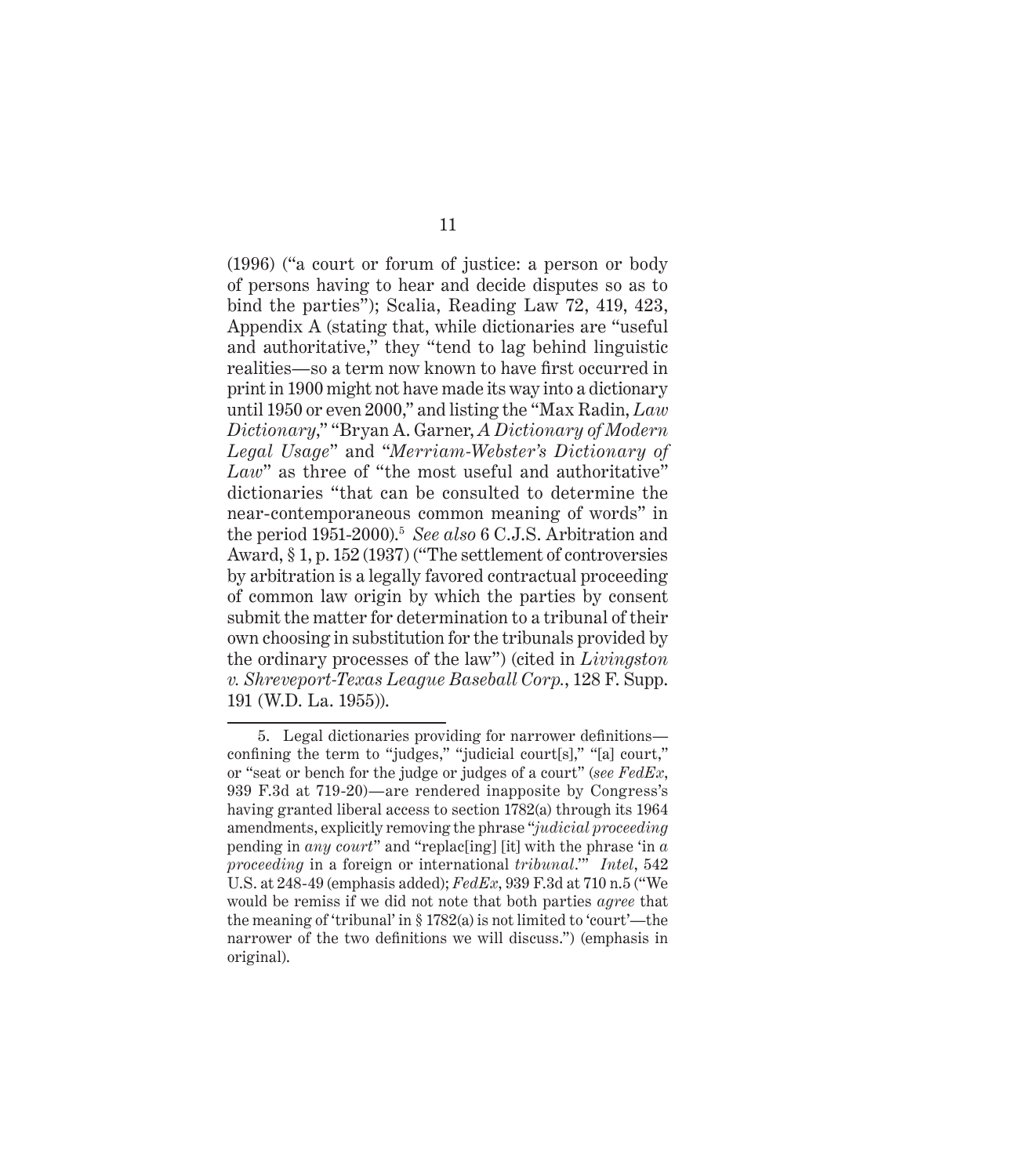(1996) ("a court or forum of justice: a person or body of persons having to hear and decide disputes so as to bind the parties"); Scalia, Reading Law 72, 419, 423, Appendix A (stating that, while dictionaries are "useful and authoritative," they "tend to lag behind linguistic realities—so a term now known to have first occurred in print in 1900 might not have made its way into a dictionary until 1950 or even 2000," and listing the "Max Radin, *Law Dictionary*," "Bryan A. Garner, *A Dictionary of Modern Legal Usage*" and "*Merriam-Webster's Dictionary of*  Law" as three of "the most useful and authoritative" dictionaries "that can be consulted to determine the near-contemporaneous common meaning of words" in the period 1951-2000).5 *See also* 6 C.J.S. Arbitration and Award, § 1, p. 152 (1937) ("The settlement of controversies by arbitration is a legally favored contractual proceeding of common law origin by which the parties by consent submit the matter for determination to a tribunal of their own choosing in substitution for the tribunals provided by the ordinary processes of the law") (cited in *Livingston v. Shreveport-Texas League Baseball Corp.*, 128 F. Supp. 191 (W.D. La. 1955)).

<sup>5.</sup> Legal dictionaries providing for narrower definitions confining the term to "judges," "judicial court[s]," "[a] court," or "seat or bench for the judge or judges of a court" (*see FedEx*, 939 F.3d at 719-20)—are rendered inapposite by Congress's having granted liberal access to section 1782(a) through its 1964 amendments, explicitly removing the phrase "*judicial proceeding* pending in *any court*" and "replac[ing] [it] with the phrase 'in *a proceeding* in a foreign or international *tribunal*.'" *Intel*, 542 U.S. at 248-49 (emphasis added); *FedEx*, 939 F.3d at 710 n.5 ("We would be remiss if we did not note that both parties *agree* that the meaning of 'tribunal' in § 1782(a) is not limited to 'court'—the narrower of the two definitions we will discuss.") (emphasis in original).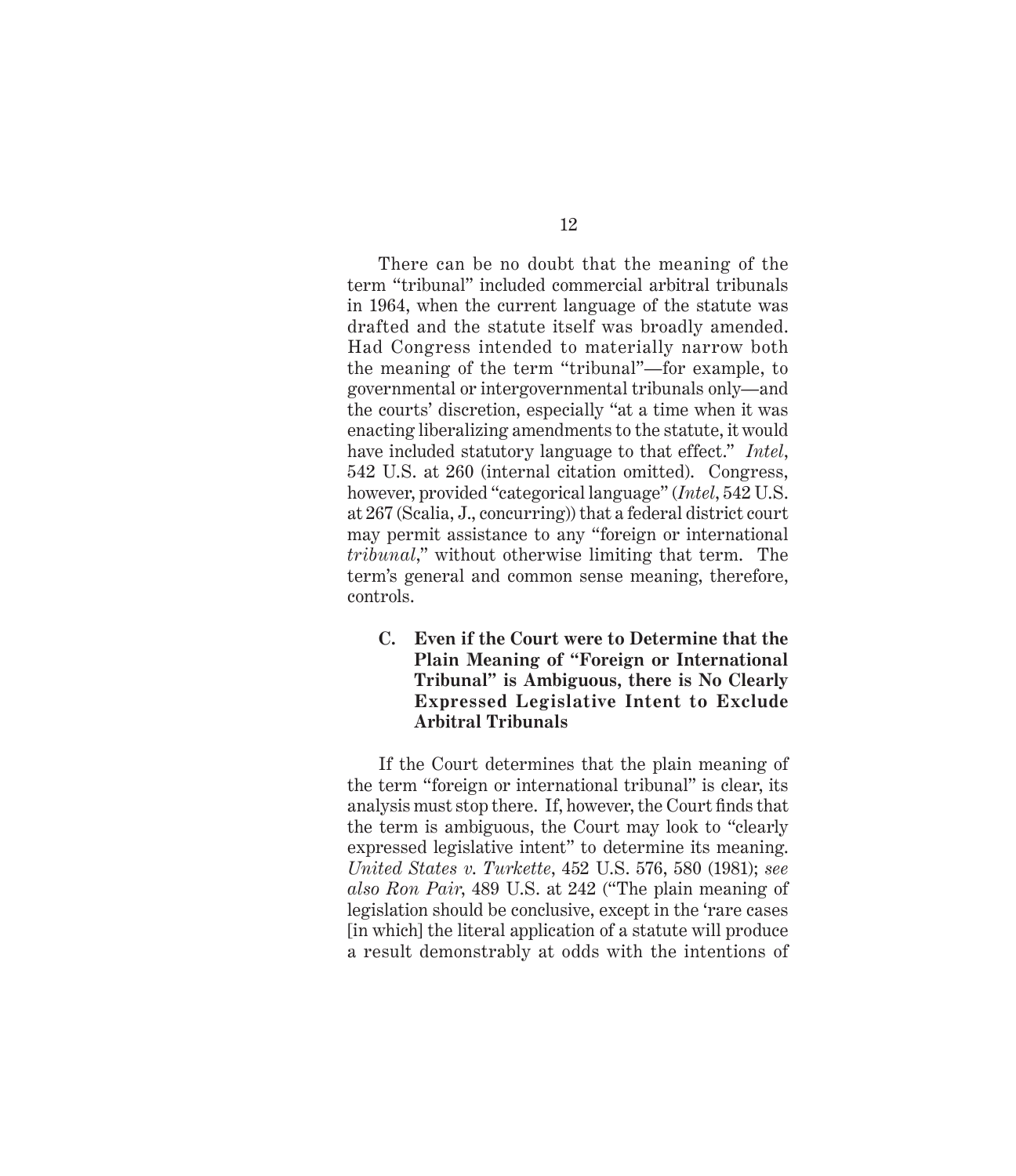There can be no doubt that the meaning of the term "tribunal" included commercial arbitral tribunals in 1964, when the current language of the statute was drafted and the statute itself was broadly amended. Had Congress intended to materially narrow both the meaning of the term "tribunal"—for example, to governmental or intergovernmental tribunals only—and the courts' discretion, especially "at a time when it was enacting liberalizing amendments to the statute, it would have included statutory language to that effect." *Intel*, 542 U.S. at 260 (internal citation omitted). Congress, however, provided "categorical language" (*Intel*, 542 U.S. at 267 (Scalia, J., concurring)) that a federal district court may permit assistance to any "foreign or international *tribunal*," without otherwise limiting that term. The term's general and common sense meaning, therefore, controls.

**C. Even if the Court were to Determine that the Plain Meaning of "Foreign or International Tribunal" is Ambiguous, there is No Clearly Expressed Legislative Intent to Exclude Arbitral Tribunals** 

If the Court determines that the plain meaning of the term "foreign or international tribunal" is clear, its analysis must stop there. If, however, the Court finds that the term is ambiguous, the Court may look to "clearly expressed legislative intent" to determine its meaning. *United States v*. *Turkette*, 452 U.S. 576, 580 (1981); *see also Ron Pair*, 489 U.S. at 242 ("The plain meaning of legislation should be conclusive, except in the 'rare cases [in which] the literal application of a statute will produce a result demonstrably at odds with the intentions of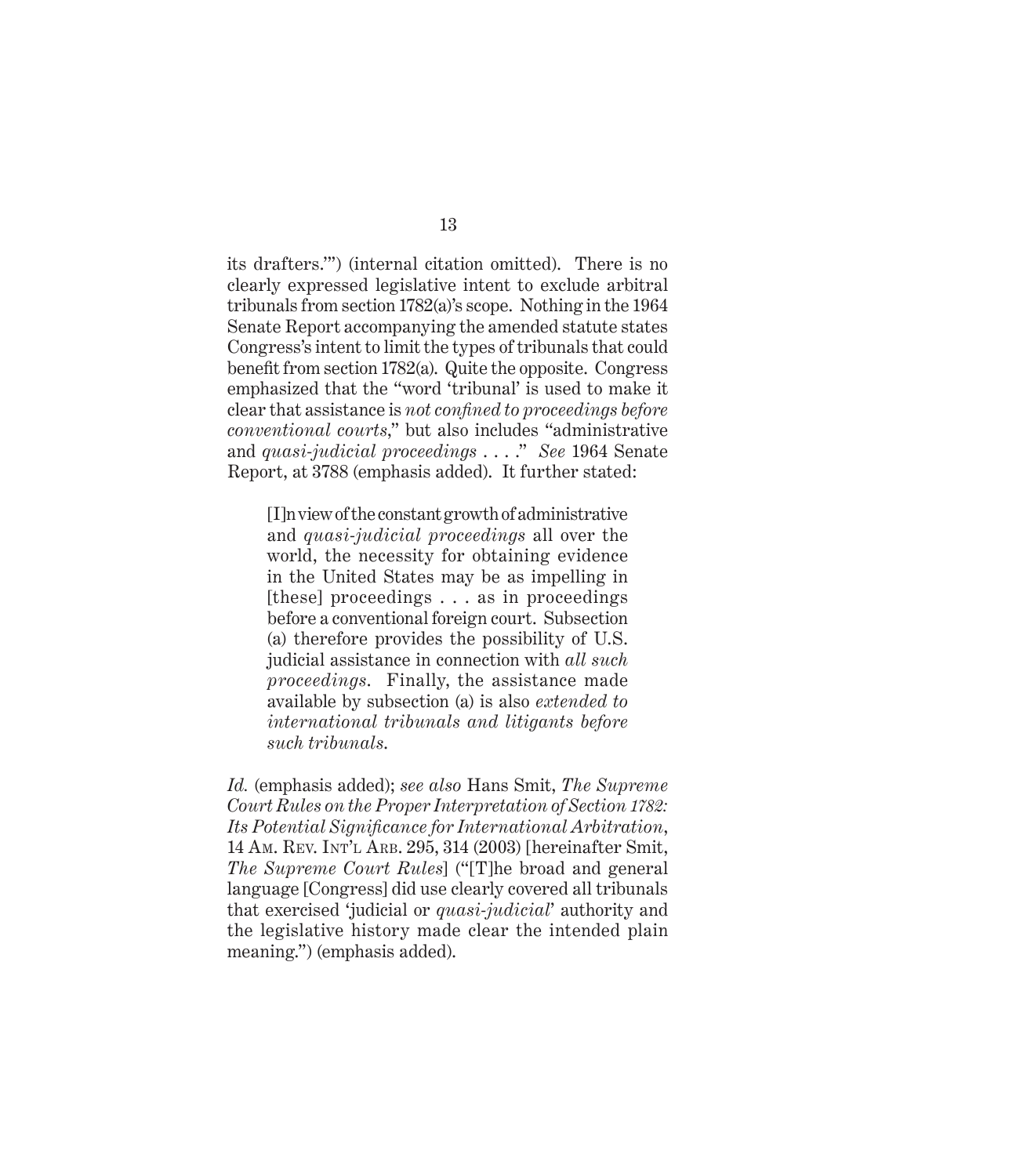its drafters.'") (internal citation omitted). There is no clearly expressed legislative intent to exclude arbitral tribunals from section 1782(a)'s scope. Nothing in the 1964 Senate Report accompanying the amended statute states Congress's intent to limit the types of tribunals that could benefit from section 1782(a). Quite the opposite. Congress emphasized that the "word 'tribunal' is used to make it clear that assistance is *not confined to proceedings before conventional courts*," but also includes "administrative and *quasi-judicial proceedings* . . . ." *See* 1964 Senate Report, at 3788 (emphasis added). It further stated:

[I]n view of the constant growth of administrative and *quasi-judicial proceedings* all over the world, the necessity for obtaining evidence in the United States may be as impelling in [these] proceedings . . . as in proceedings before a conventional foreign court. Subsection (a) therefore provides the possibility of U.S. judicial assistance in connection with *all such proceedings*. Finally, the assistance made available by subsection (a) is also *extended to international tribunals and litigants before such tribunals*.

*Id.* (emphasis added); *see also* Hans Smit, *The Supreme Court Rules on the Proper Interpretation of Section 1782: Its Potential Significance for International Arbitration*, 14 Am. Rev. Int'l Arb. 295, 314 (2003) [hereinafter Smit, *The Supreme Court Rules*] ("[T]he broad and general language [Congress] did use clearly covered all tribunals that exercised 'judicial or *quasi-judicial*' authority and the legislative history made clear the intended plain meaning.") (emphasis added).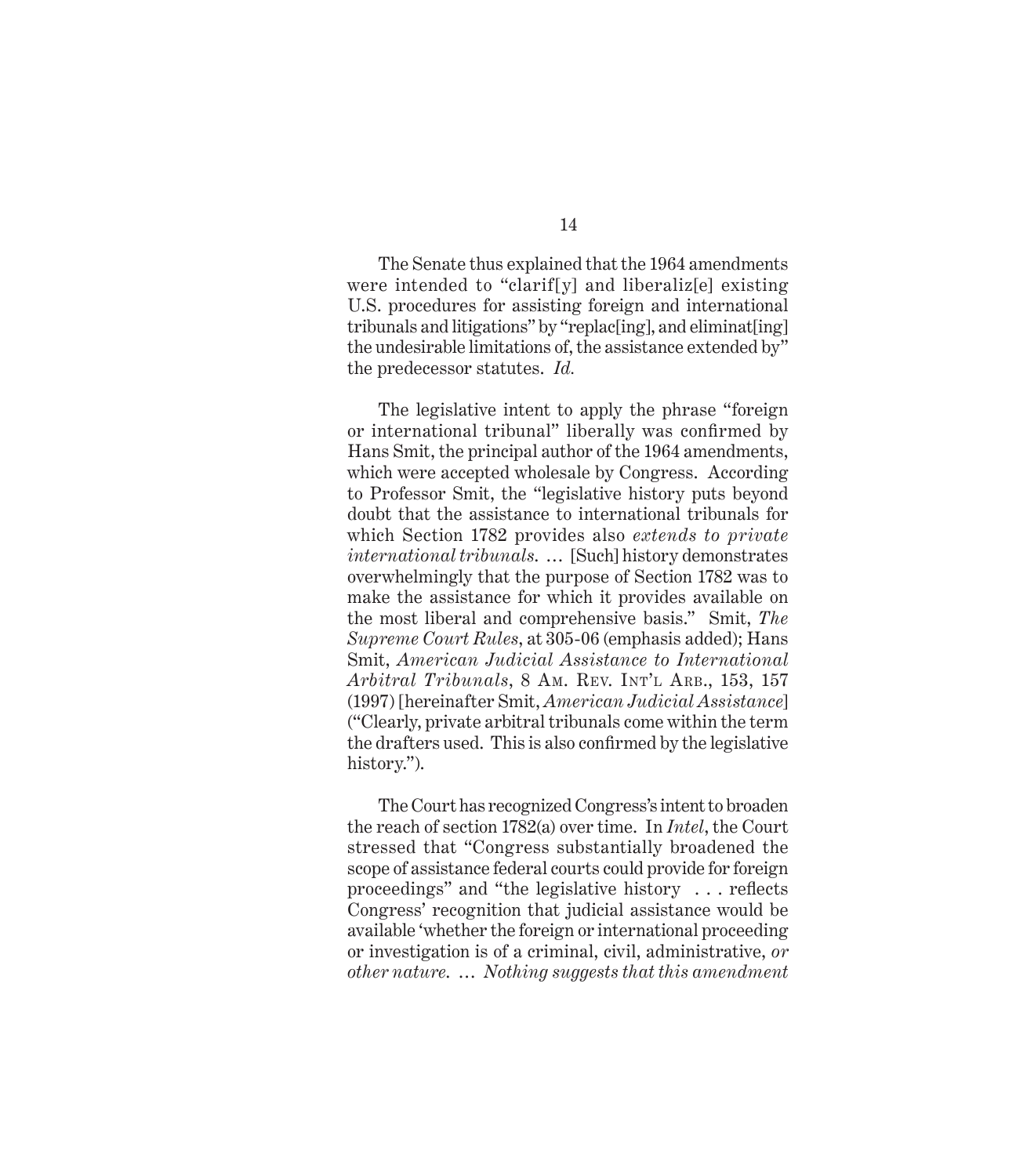The Senate thus explained that the 1964 amendments were intended to "clarif[y] and liberaliz[e] existing U.S. procedures for assisting foreign and international tribunals and litigations" by "replac[ing], and eliminat[ing] the undesirable limitations of, the assistance extended by" the predecessor statutes. *Id.*

The legislative intent to apply the phrase "foreign or international tribunal" liberally was confirmed by Hans Smit, the principal author of the 1964 amendments, which were accepted wholesale by Congress. According to Professor Smit, the "legislative history puts beyond doubt that the assistance to international tribunals for which Section 1782 provides also *extends to private international tribunals*. … [Such] history demonstrates overwhelmingly that the purpose of Section 1782 was to make the assistance for which it provides available on the most liberal and comprehensive basis." Smit, *The Supreme Court Rules*, at 305-06 (emphasis added); Hans Smit, *American Judicial Assistance to International Arbitral Tribunals*, 8 Am. Rev. Int'l Arb., 153, 157 (1997) [hereinafter Smit, *American Judicial Assistance*] ("Clearly, private arbitral tribunals come within the term the drafters used. This is also confirmed by the legislative history.").

The Court has recognized Congress's intent to broaden the reach of section 1782(a) over time. In *Intel*, the Court stressed that "Congress substantially broadened the scope of assistance federal courts could provide for foreign proceedings" and "the legislative history . . . reflects Congress' recognition that judicial assistance would be available 'whether the foreign or international proceeding or investigation is of a criminal, civil, administrative, *or other nature*. … *Nothing suggests that this amendment* 

14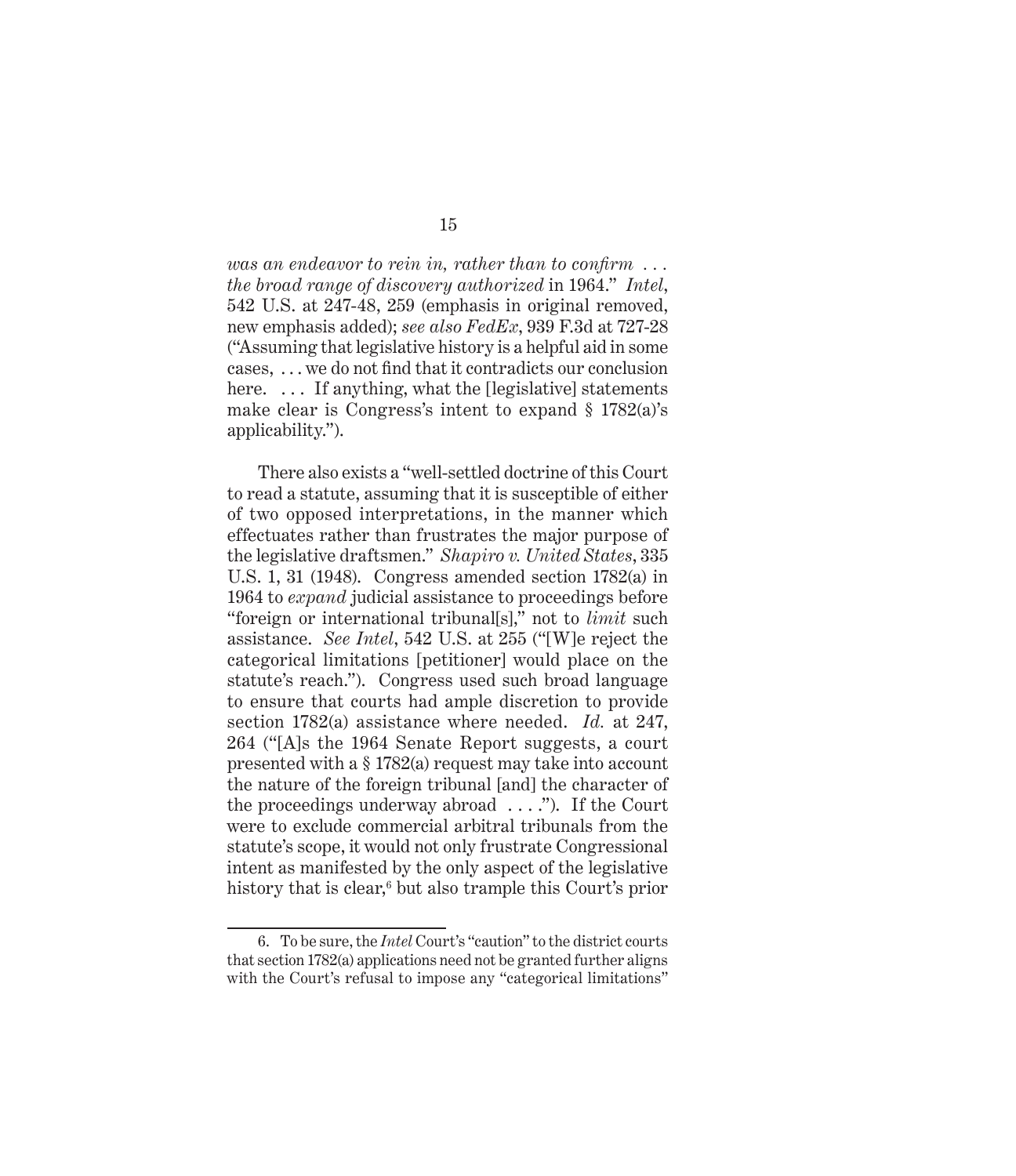*was an endeavor to rein in, rather than to confirm . . . the broad range of discovery authorized* in 1964." *Intel*, 542 U.S. at 247-48, 259 (emphasis in original removed, new emphasis added); *see also FedEx*, 939 F.3d at 727-28 ("Assuming that legislative history is a helpful aid in some cases, . . . we do not find that it contradicts our conclusion here. ... If anything, what the [legislative] statements make clear is Congress's intent to expand § 1782(a)'s applicability.").

There also exists a "well-settled doctrine of this Court to read a statute, assuming that it is susceptible of either of two opposed interpretations, in the manner which effectuates rather than frustrates the major purpose of the legislative draftsmen." *Shapiro v. United States*, 335 U.S. 1, 31 (1948). Congress amended section 1782(a) in 1964 to *expand* judicial assistance to proceedings before "foreign or international tribunal[s]," not to *limit* such assistance. *See Intel*, 542 U.S. at 255 ("[W]e reject the categorical limitations [petitioner] would place on the statute's reach."). Congress used such broad language to ensure that courts had ample discretion to provide section 1782(a) assistance where needed. *Id.* at 247, 264 ("[A]s the 1964 Senate Report suggests, a court presented with a § 1782(a) request may take into account the nature of the foreign tribunal [and] the character of the proceedings underway abroad . . . ."). If the Court were to exclude commercial arbitral tribunals from the statute's scope, it would not only frustrate Congressional intent as manifested by the only aspect of the legislative history that is clear,<sup>6</sup> but also trample this Court's prior

<sup>6.</sup> To be sure, the *Intel* Court's "caution" to the district courts that section 1782(a) applications need not be granted further aligns with the Court's refusal to impose any "categorical limitations"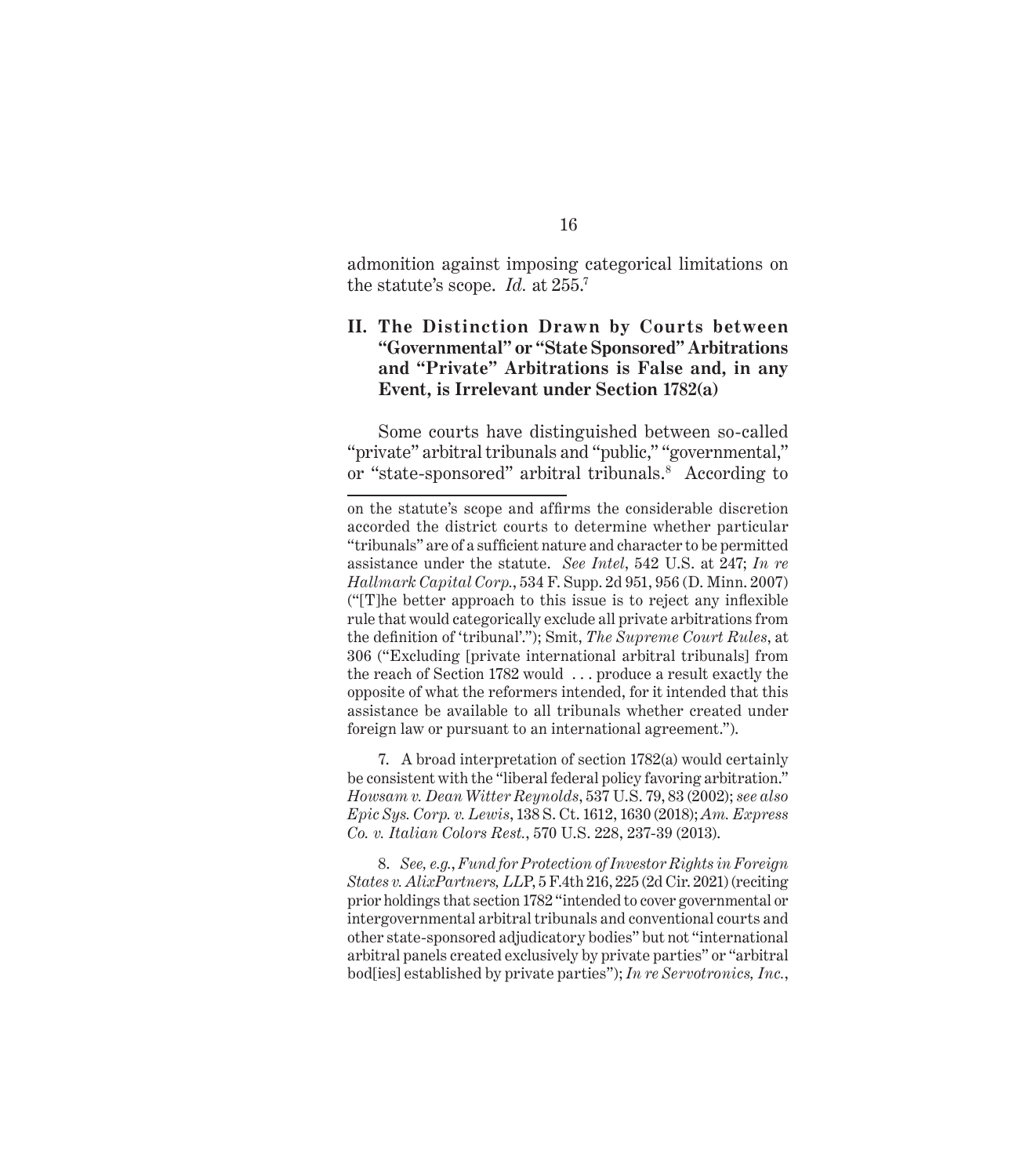admonition against imposing categorical limitations on the statute's scope. *Id.* at 255.<sup>7</sup>

#### **II. The Distinction Drawn by Courts between "Governmental" or "State Sponsored" Arbitrations and "Private" Arbitrations is False and, in any Event, is Irrelevant under Section 1782(a)**

Some courts have distinguished between so-called "private" arbitral tribunals and "public," "governmental," or "state-sponsored" arbitral tribunals.<sup>8</sup> According to

7. A broad interpretation of section 1782(a) would certainly be consistent with the "liberal federal policy favoring arbitration." *Howsam v. Dean Witter Reynolds*, 537 U.S. 79, 83 (2002); *see also Epic Sys. Corp. v. Lewis*, 138 S. Ct. 1612, 1630 (2018); *Am. Express Co. v. Italian Colors Rest.*, 570 U.S. 228, 237-39 (2013).

8. *See, e.g.*, *Fund for Protection of Investor Rights in Foreign States v. AlixPartners, LL*P, 5 F.4th 216, 225 (2d Cir. 2021) (reciting prior holdings that section 1782 "intended to cover governmental or intergovernmental arbitral tribunals and conventional courts and other state-sponsored adjudicatory bodies" but not "international arbitral panels created exclusively by private parties" or "arbitral bod[ies] established by private parties"); *In re Servotronics, Inc.*,

on the statute's scope and affirms the considerable discretion accorded the district courts to determine whether particular "tribunals" are of a sufficient nature and character to be permitted assistance under the statute. *See Intel*, 542 U.S. at 247; *In re Hallmark Capital Corp.*, 534 F. Supp. 2d 951, 956 (D. Minn. 2007) ("[T]he better approach to this issue is to reject any inflexible rule that would categorically exclude all private arbitrations from the definition of 'tribunal'."); Smit, *The Supreme Court Rules*, at 306 ("Excluding [private international arbitral tribunals] from the reach of Section 1782 would . . . produce a result exactly the opposite of what the reformers intended, for it intended that this assistance be available to all tribunals whether created under foreign law or pursuant to an international agreement.").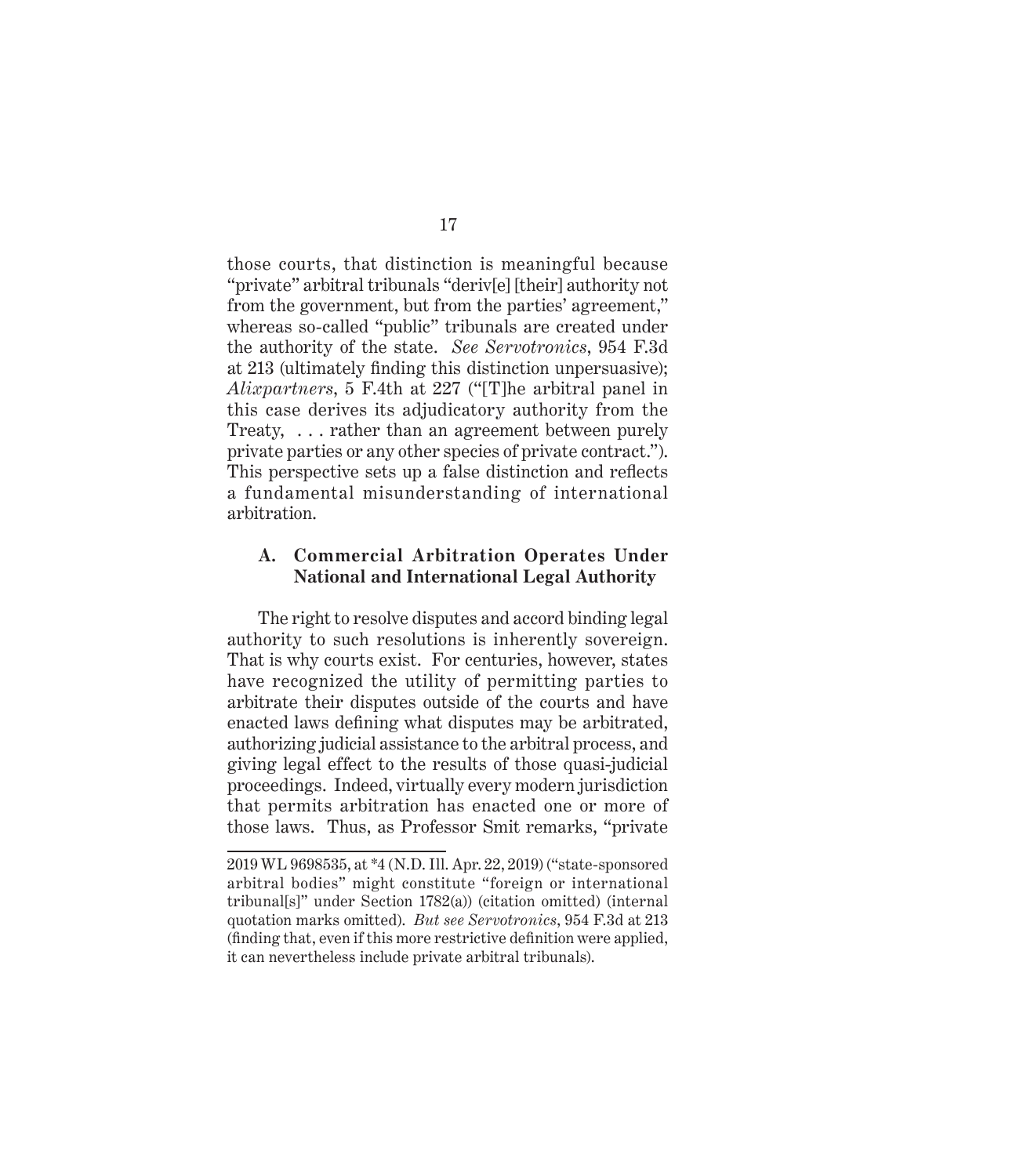those courts, that distinction is meaningful because "private" arbitral tribunals "deriv[e] [their] authority not from the government, but from the parties' agreement," whereas so-called "public" tribunals are created under the authority of the state. *See Servotronics*, 954 F.3d at 213 (ultimately finding this distinction unpersuasive); *Alixpartners*, 5 F.4th at 227 ("[T]he arbitral panel in this case derives its adjudicatory authority from the Treaty, . . . rather than an agreement between purely private parties or any other species of private contract."). This perspective sets up a false distinction and reflects a fundamental misunderstanding of international arbitration.

#### **A. Commercial Arbitration Operates Under National and International Legal Authority**

The right to resolve disputes and accord binding legal authority to such resolutions is inherently sovereign. That is why courts exist. For centuries, however, states have recognized the utility of permitting parties to arbitrate their disputes outside of the courts and have enacted laws defining what disputes may be arbitrated, authorizing judicial assistance to the arbitral process, and giving legal effect to the results of those quasi-judicial proceedings. Indeed, virtually every modern jurisdiction that permits arbitration has enacted one or more of those laws. Thus, as Professor Smit remarks, "private

<sup>2019</sup> WL 9698535, at \*4 (N.D. Ill. Apr. 22, 2019) ("state-sponsored arbitral bodies" might constitute "foreign or international tribunal[s]" under Section 1782(a)) (citation omitted) (internal quotation marks omitted). *But see Servotronics*, 954 F.3d at 213 (finding that, even if this more restrictive definition were applied, it can nevertheless include private arbitral tribunals).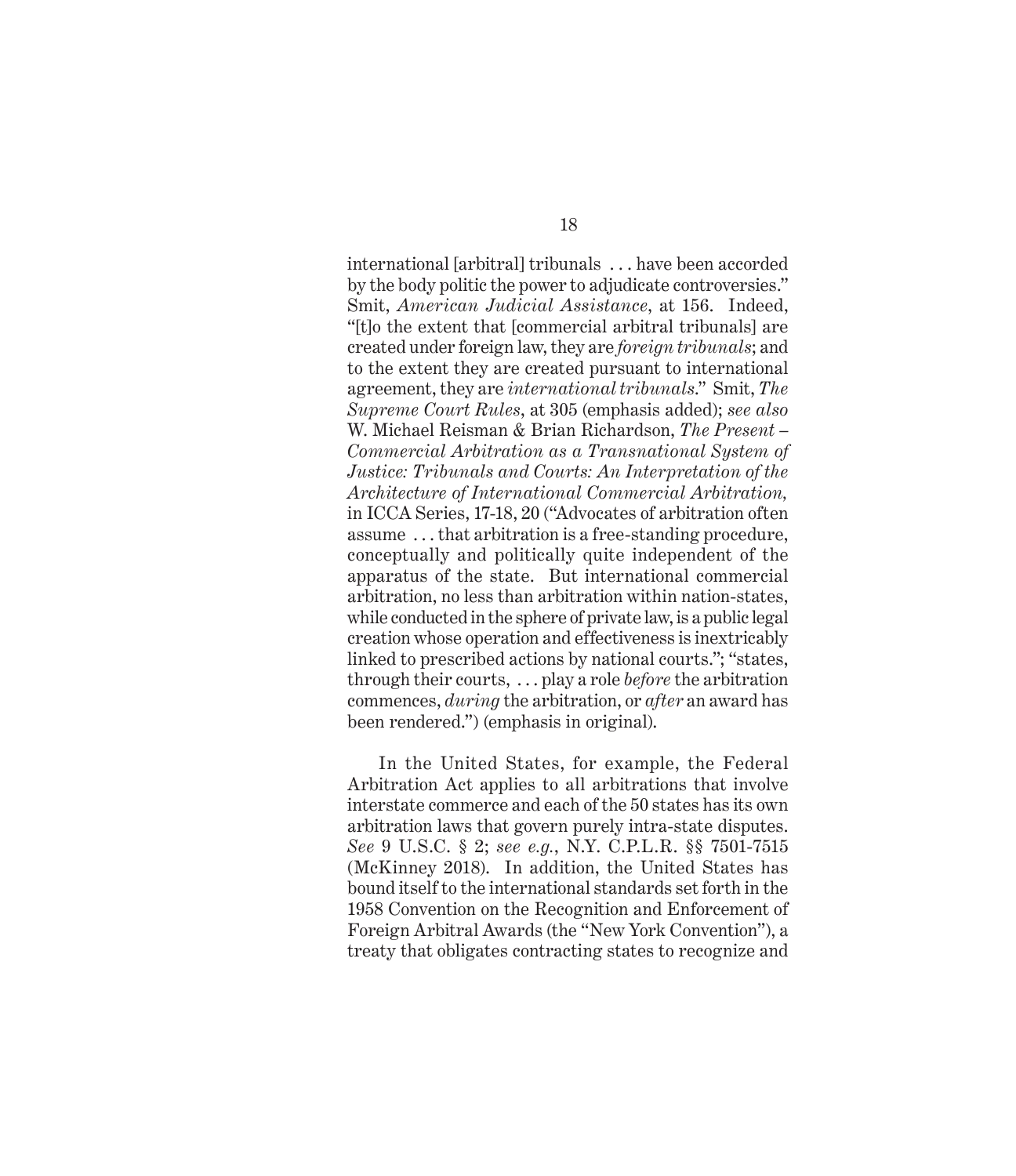international [arbitral] tribunals . . . have been accorded by the body politic the power to adjudicate controversies." Smit, *American Judicial Assistance*, at 156. Indeed, "[t]o the extent that [commercial arbitral tribunals] are created under foreign law, they are *foreign tribunals*; and to the extent they are created pursuant to international agreement, they are *international tribunals*." Smit, *The Supreme Court Rules*, at 305 (emphasis added); *see also*  W. Michael Reisman & Brian Richardson, *The Present – Commercial Arbitration as a Transnational System of Justice: Tribunals and Courts: An Interpretation of the Architecture of International Commercial Arbitration,* in ICCA Series, 17-18, 20 ("Advocates of arbitration often assume . . . that arbitration is a free-standing procedure, conceptually and politically quite independent of the apparatus of the state. But international commercial arbitration, no less than arbitration within nation-states, while conducted in the sphere of private law, is a public legal creation whose operation and effectiveness is inextricably linked to prescribed actions by national courts."; "states, through their courts, . . . play a role *before* the arbitration commences, *during* the arbitration, or *after* an award has been rendered.") (emphasis in original).

In the United States, for example, the Federal Arbitration Act applies to all arbitrations that involve interstate commerce and each of the 50 states has its own arbitration laws that govern purely intra-state disputes. *See* 9 U.S.C. § 2; *see e.g.*, N.Y. C.P.L.R. §§ 7501-7515 (McKinney 2018). In addition, the United States has bound itself to the international standards set forth in the 1958 Convention on the Recognition and Enforcement of Foreign Arbitral Awards (the "New York Convention"), a treaty that obligates contracting states to recognize and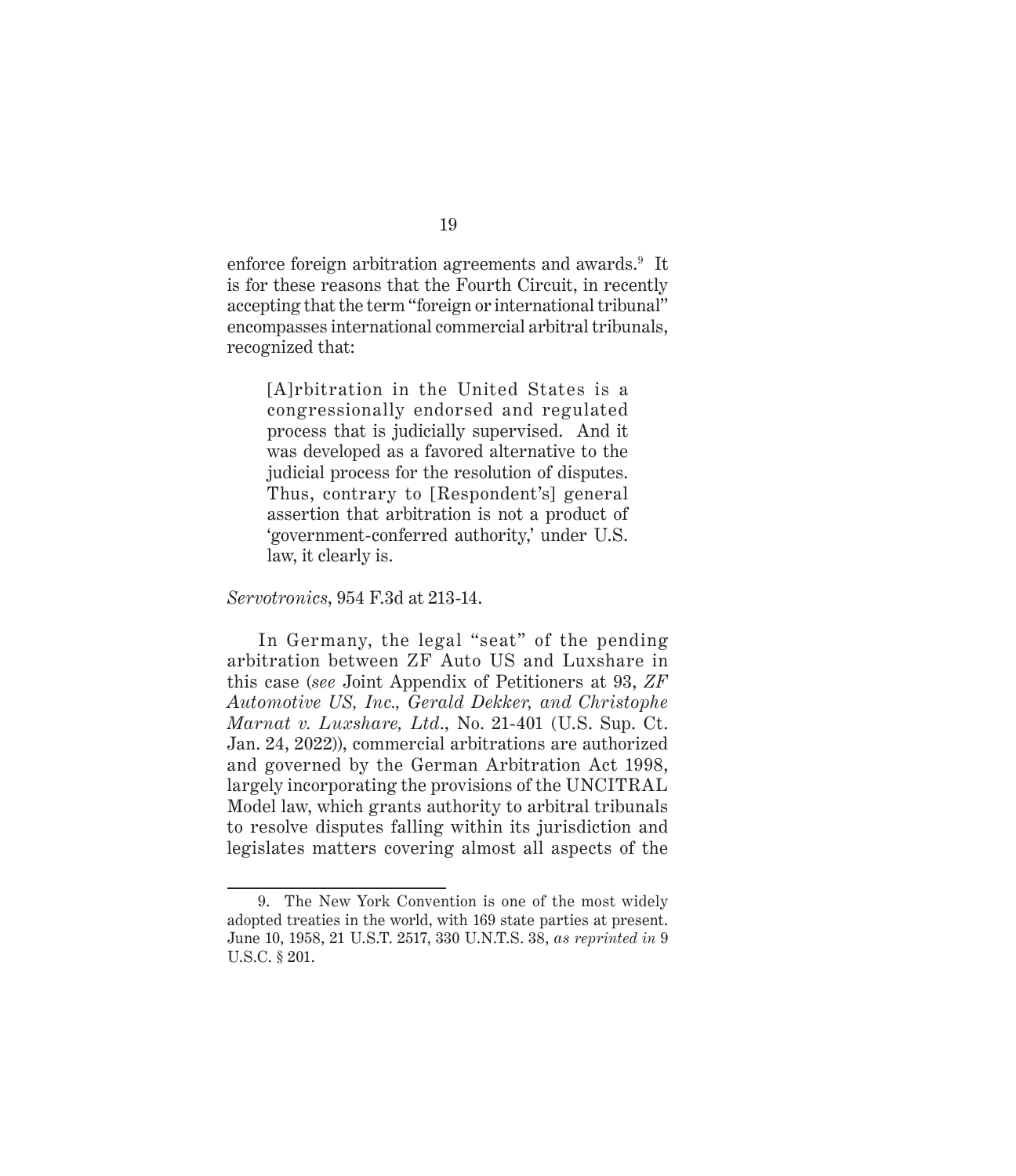enforce foreign arbitration agreements and awards.<sup>9</sup> It is for these reasons that the Fourth Circuit, in recently accepting that the term "foreign or international tribunal" encompasses international commercial arbitral tribunals, recognized that:

[A]rbitration in the United States is a congressionally endorsed and regulated process that is judicially supervised. And it was developed as a favored alternative to the judicial process for the resolution of disputes. Thus, contrary to [Respondent's] general assertion that arbitration is not a product of 'government-conferred authority,' under U.S. law, it clearly is.

*Servotronics*, 954 F.3d at 213-14.

In Germany, the legal "seat" of the pending arbitration between ZF Auto US and Luxshare in this case (*see* Joint Appendix of Petitioners at 93, *ZF Automotive US, Inc., Gerald Dekker, and Christophe Marnat v. Luxshare, Ltd*., No. 21-401 (U.S. Sup. Ct. Jan. 24, 2022)), commercial arbitrations are authorized and governed by the German Arbitration Act 1998, largely incorporating the provisions of the UNCITRAL Model law, which grants authority to arbitral tribunals to resolve disputes falling within its jurisdiction and legislates matters covering almost all aspects of the

<sup>9.</sup> The New York Convention is one of the most widely adopted treaties in the world, with 169 state parties at present. June 10, 1958, 21 U.S.T. 2517, 330 U.N.T.S. 38, *as reprinted in* 9 U.S.C. § 201.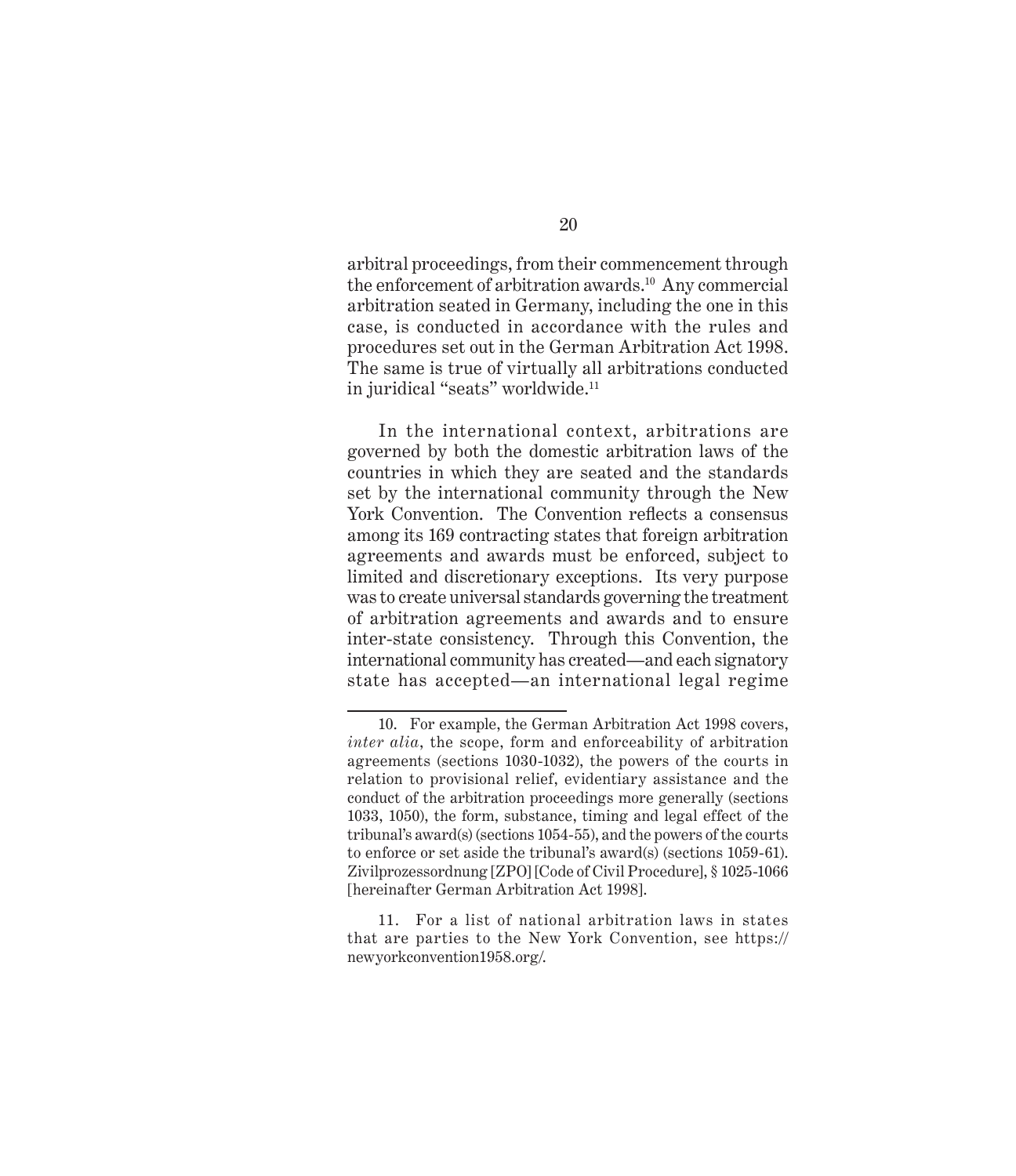arbitral proceedings, from their commencement through the enforcement of arbitration awards.<sup>10</sup> Any commercial arbitration seated in Germany, including the one in this case, is conducted in accordance with the rules and procedures set out in the German Arbitration Act 1998. The same is true of virtually all arbitrations conducted in juridical "seats" worldwide.<sup>11</sup>

In the international context, arbitrations are governed by both the domestic arbitration laws of the countries in which they are seated and the standards set by the international community through the New York Convention. The Convention reflects a consensus among its 169 contracting states that foreign arbitration agreements and awards must be enforced, subject to limited and discretionary exceptions. Its very purpose was to create universal standards governing the treatment of arbitration agreements and awards and to ensure inter-state consistency. Through this Convention, the international community has created—and each signatory state has accepted—an international legal regime

<sup>10.</sup> For example, the German Arbitration Act 1998 covers, *inter alia*, the scope, form and enforceability of arbitration agreements (sections 1030-1032), the powers of the courts in relation to provisional relief, evidentiary assistance and the conduct of the arbitration proceedings more generally (sections 1033, 1050), the form, substance, timing and legal effect of the tribunal's award(s) (sections 1054-55), and the powers of the courts to enforce or set aside the tribunal's award(s) (sections 1059-61). Zivilprozessordnung [ZPO] [Code of Civil Procedure], § 1025-1066 [hereinafter German Arbitration Act 1998].

<sup>11.</sup> For a list of national arbitration laws in states that are parties to the New York Convention, see https:// newyorkconvention1958.org/.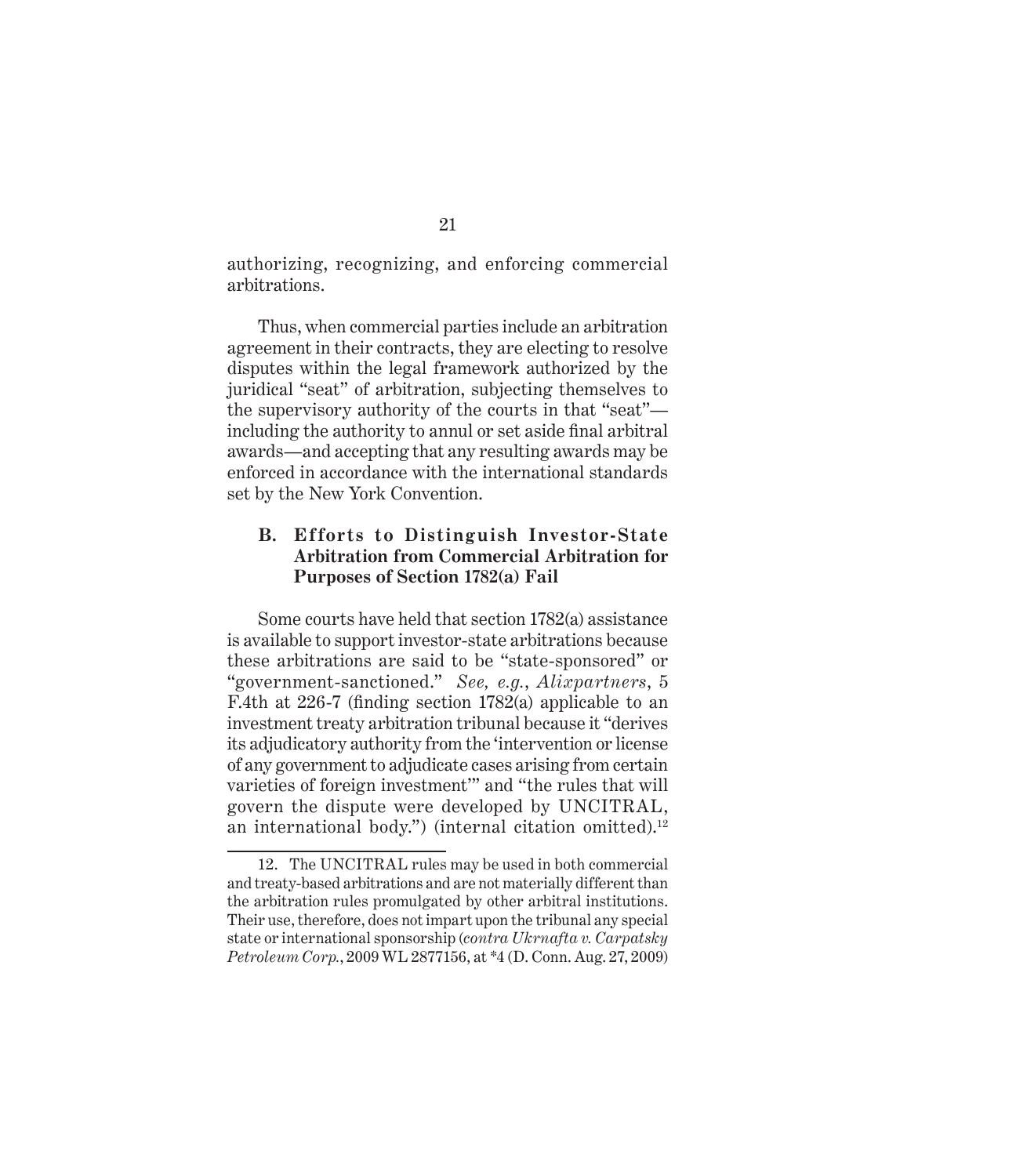authorizing, recognizing, and enforcing commercial arbitrations.

Thus, when commercial parties include an arbitration agreement in their contracts, they are electing to resolve disputes within the legal framework authorized by the juridical "seat" of arbitration, subjecting themselves to the supervisory authority of the courts in that "seat" including the authority to annul or set aside final arbitral awards—and accepting that any resulting awards may be enforced in accordance with the international standards set by the New York Convention.

#### **B. Efforts to Distinguish Investor-State Arbitration from Commercial Arbitration for Purposes of Section 1782(a) Fail**

Some courts have held that section 1782(a) assistance is available to support investor-state arbitrations because these arbitrations are said to be "state-sponsored" or "government-sanctioned." *See, e.g.*, *Alixpartners*, 5 F.4th at 226-7 (finding section 1782(a) applicable to an investment treaty arbitration tribunal because it "derives its adjudicatory authority from the 'intervention or license of any government to adjudicate cases arising from certain varieties of foreign investment'" and "the rules that will govern the dispute were developed by UNCITRAL, an international body.") (internal citation omitted). $12$ 

<sup>12.</sup> The UNCITRAL rules may be used in both commercial and treaty-based arbitrations and are not materially different than the arbitration rules promulgated by other arbitral institutions. Their use, therefore, does not impart upon the tribunal any special state or international sponsorship (*contra Ukrnafta v. Carpatsky Petroleum Corp.*, 2009 WL 2877156, at \*4 (D. Conn. Aug. 27, 2009)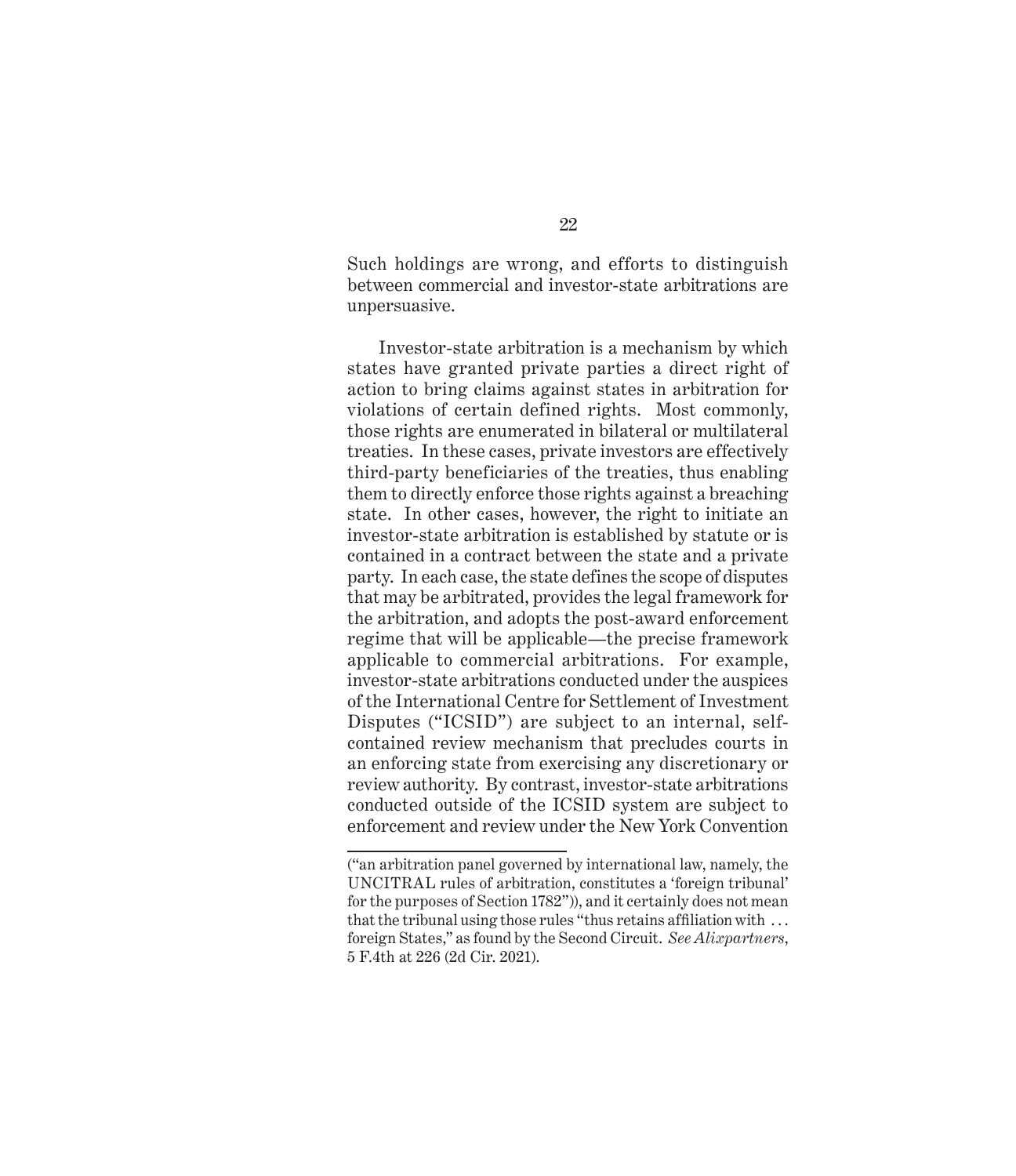Such holdings are wrong, and efforts to distinguish between commercial and investor-state arbitrations are unpersuasive.

Investor-state arbitration is a mechanism by which states have granted private parties a direct right of action to bring claims against states in arbitration for violations of certain defined rights. Most commonly, those rights are enumerated in bilateral or multilateral treaties. In these cases, private investors are effectively third-party beneficiaries of the treaties, thus enabling them to directly enforce those rights against a breaching state. In other cases, however, the right to initiate an investor-state arbitration is established by statute or is contained in a contract between the state and a private party. In each case, the state defines the scope of disputes that may be arbitrated, provides the legal framework for the arbitration, and adopts the post-award enforcement regime that will be applicable—the precise framework applicable to commercial arbitrations. For example, investor-state arbitrations conducted under the auspices of the International Centre for Settlement of Investment Disputes ("ICSID") are subject to an internal, selfcontained review mechanism that precludes courts in an enforcing state from exercising any discretionary or review authority. By contrast, investor-state arbitrations conducted outside of the ICSID system are subject to enforcement and review under the New York Convention

<sup>(&</sup>quot;an arbitration panel governed by international law, namely, the UNCITRAL rules of arbitration, constitutes a 'foreign tribunal' for the purposes of Section 1782")), and it certainly does not mean that the tribunal using those rules "thus retains affiliation with . . . foreign States," as found by the Second Circuit. *See Alixpartners*, 5 F.4th at 226 (2d Cir. 2021).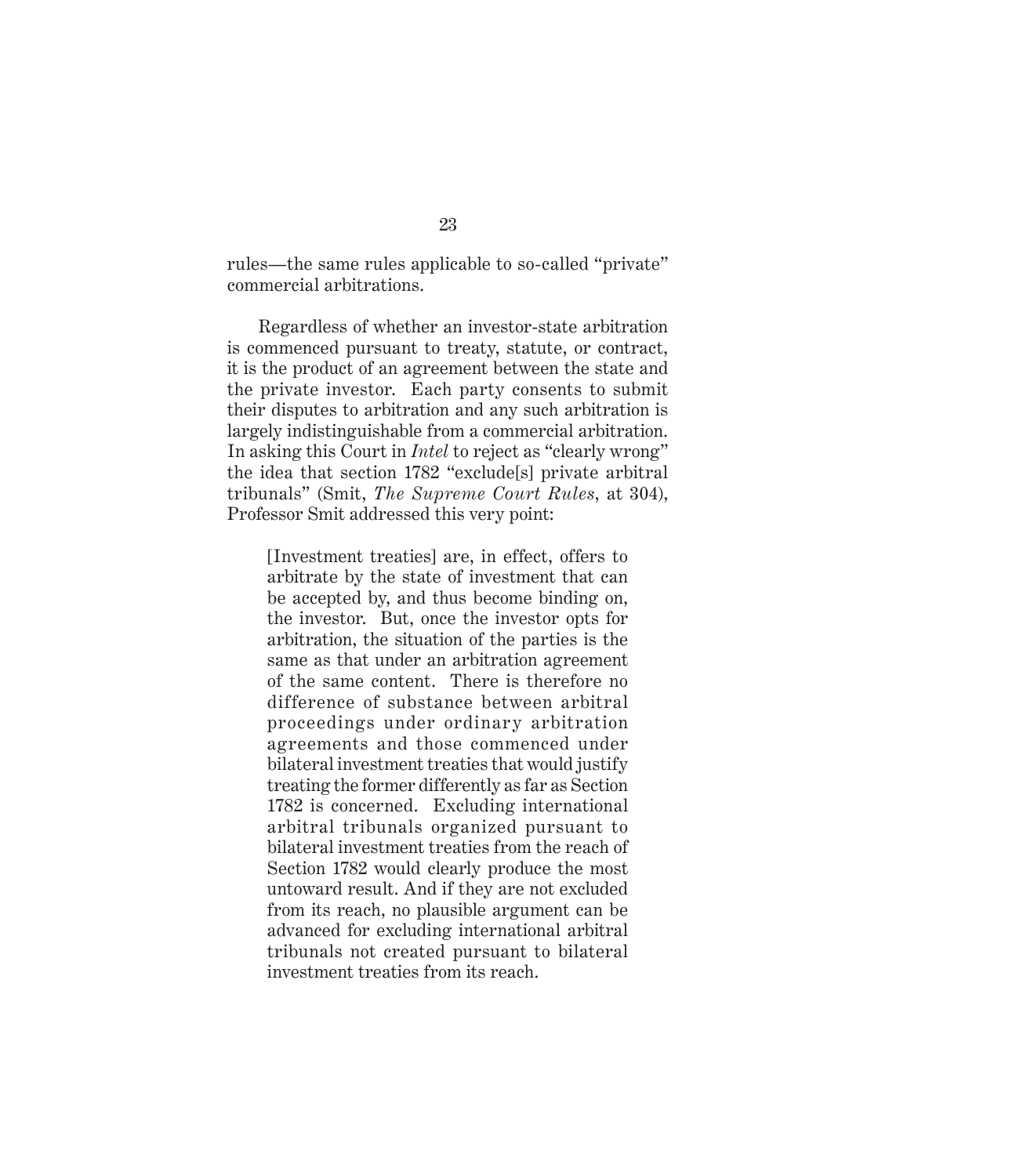rules—the same rules applicable to so-called "private" commercial arbitrations.

Regardless of whether an investor-state arbitration is commenced pursuant to treaty, statute, or contract, it is the product of an agreement between the state and the private investor. Each party consents to submit their disputes to arbitration and any such arbitration is largely indistinguishable from a commercial arbitration. In asking this Court in *Intel* to reject as "clearly wrong" the idea that section 1782 "exclude[s] private arbitral tribunals" (Smit, *The Supreme Court Rules*, at 304), Professor Smit addressed this very point:

[Investment treaties] are, in effect, offers to arbitrate by the state of investment that can be accepted by, and thus become binding on, the investor. But, once the investor opts for arbitration, the situation of the parties is the same as that under an arbitration agreement of the same content. There is therefore no difference of substance between arbitral proceedings under ordinary arbitration agreements and those commenced under bilateral investment treaties that would justify treating the former differently as far as Section 1782 is concerned. Excluding international arbitral tribunals organized pursuant to bilateral investment treaties from the reach of Section 1782 would clearly produce the most untoward result. And if they are not excluded from its reach, no plausible argument can be advanced for excluding international arbitral tribunals not created pursuant to bilateral investment treaties from its reach.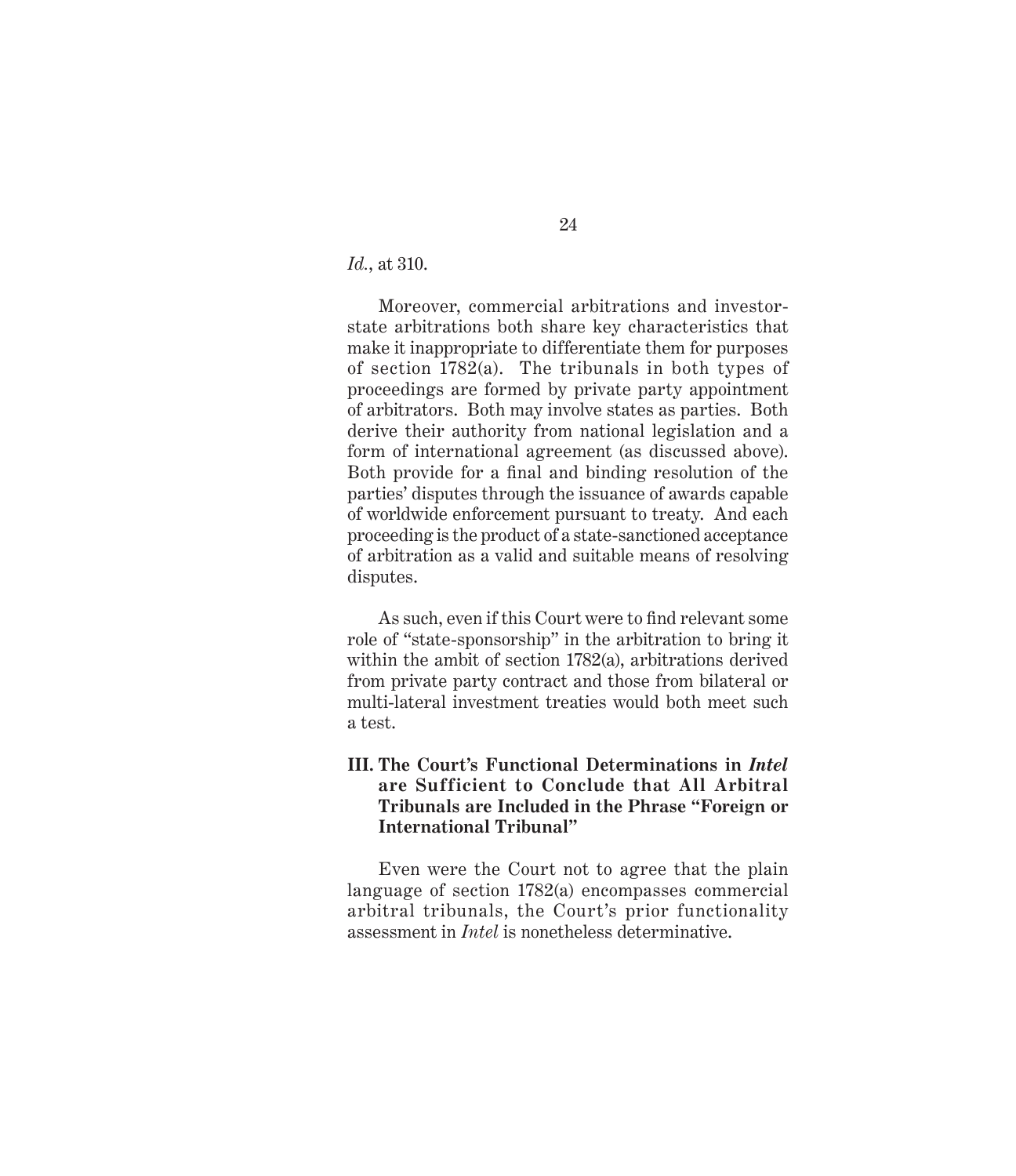*Id.*, at 310.

Moreover, commercial arbitrations and investorstate arbitrations both share key characteristics that make it inappropriate to differentiate them for purposes of section 1782(a). The tribunals in both types of proceedings are formed by private party appointment of arbitrators. Both may involve states as parties. Both derive their authority from national legislation and a form of international agreement (as discussed above). Both provide for a final and binding resolution of the parties' disputes through the issuance of awards capable of worldwide enforcement pursuant to treaty. And each proceeding is the product of a state-sanctioned acceptance of arbitration as a valid and suitable means of resolving disputes.

As such, even if this Court were to find relevant some role of "state-sponsorship" in the arbitration to bring it within the ambit of section 1782(a), arbitrations derived from private party contract and those from bilateral or multi-lateral investment treaties would both meet such a test.

#### **III. The Court's Functional Determinations in** *Intel* **are Sufficient to Conclude that All Arbitral Tribunals are Included in the Phrase "Foreign or International Tribunal"**

Even were the Court not to agree that the plain language of section 1782(a) encompasses commercial arbitral tribunals, the Court's prior functionality assessment in *Intel* is nonetheless determinative.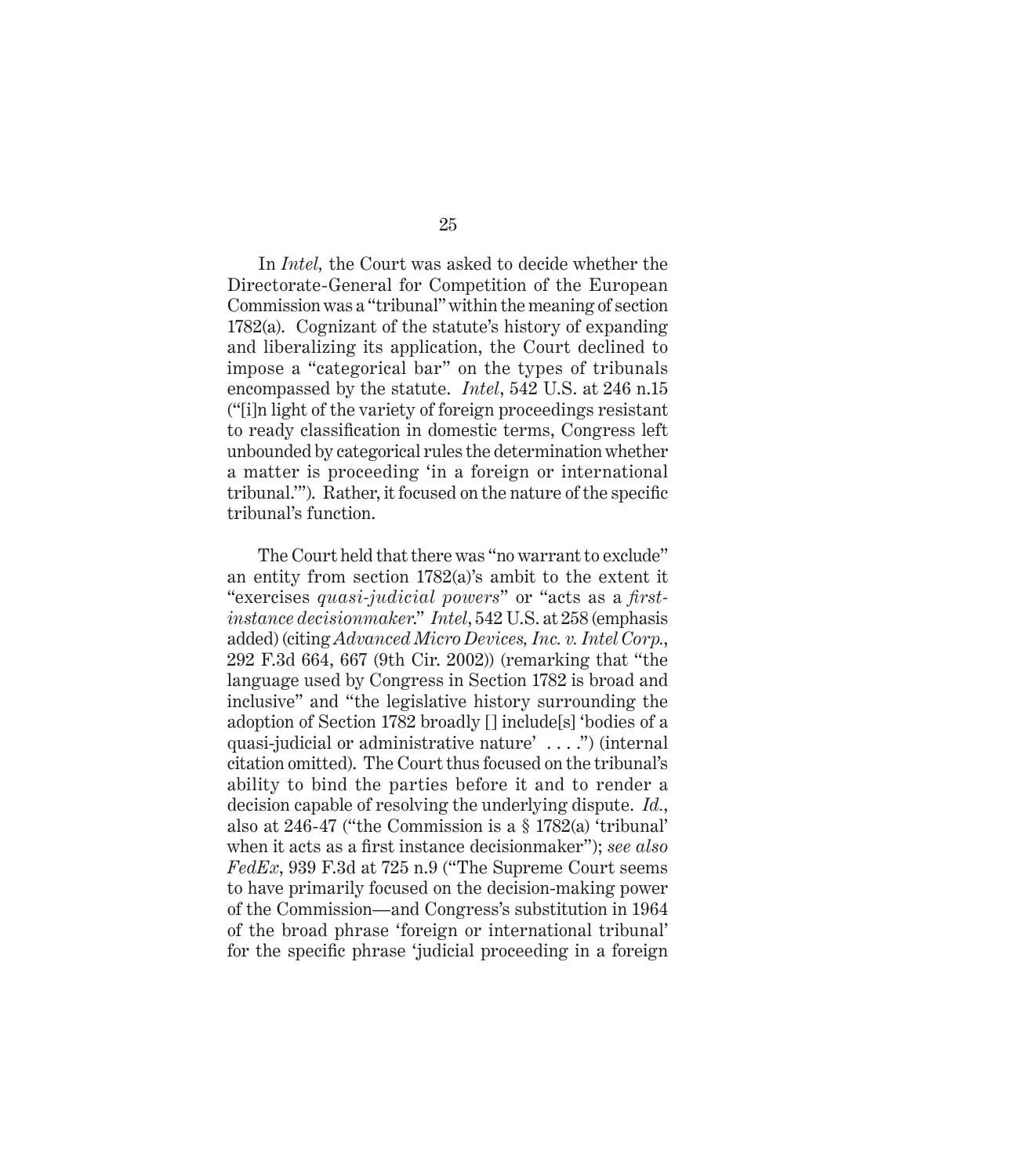In *Intel,* the Court was asked to decide whether the Directorate-General for Competition of the European Commission was a "tribunal" within the meaning of section 1782(a). Cognizant of the statute's history of expanding and liberalizing its application, the Court declined to impose a "categorical bar" on the types of tribunals encompassed by the statute. *Intel*, 542 U.S. at 246 n.15 ("[i]n light of the variety of foreign proceedings resistant to ready classification in domestic terms, Congress left unbounded by categorical rules the determination whether a matter is proceeding 'in a foreign or international tribunal.'"). Rather, it focused on the nature of the specific tribunal's function.

The Court held that there was "no warrant to exclude" an entity from section 1782(a)'s ambit to the extent it "exercises *quasi-judicial powers*" or "acts as a *firstinstance decisionmaker*." *Intel*, 542 U.S. at 258 (emphasis added) (citing *Advanced Micro Devices, Inc. v. Intel Corp.*, 292 F.3d 664, 667 (9th Cir. 2002)) (remarking that "the language used by Congress in Section 1782 is broad and inclusive" and "the legislative history surrounding the adoption of Section 1782 broadly [] include[s] 'bodies of a quasi-judicial or administrative nature' . . . .") (internal citation omitted). The Court thus focused on the tribunal's ability to bind the parties before it and to render a decision capable of resolving the underlying dispute. *Id.*, also at 246-47 ("the Commission is a § 1782(a) 'tribunal' when it acts as a first instance decisionmaker"); *see also FedEx*, 939 F.3d at 725 n.9 ("The Supreme Court seems to have primarily focused on the decision-making power of the Commission—and Congress's substitution in 1964 of the broad phrase 'foreign or international tribunal' for the specific phrase 'judicial proceeding in a foreign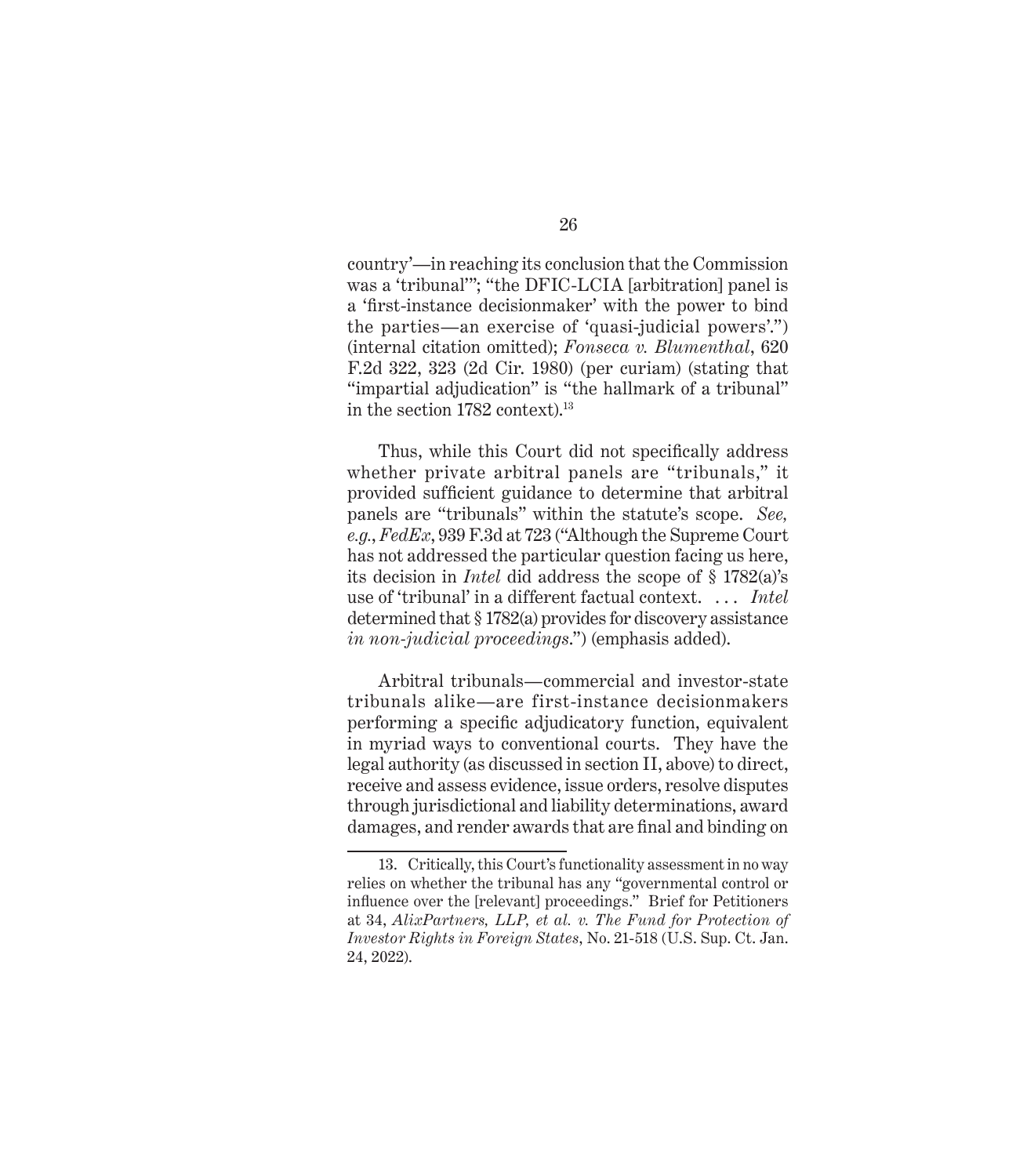country'—in reaching its conclusion that the Commission was a 'tribunal'"; "the DFIC-LCIA [arbitration] panel is a 'first-instance decisionmaker' with the power to bind the parties—an exercise of 'quasi-judicial powers'.") (internal citation omitted); *Fonseca v. Blumenthal*, 620 F.2d 322, 323 (2d Cir. 1980) (per curiam) (stating that "impartial adjudication" is "the hallmark of a tribunal" in the section 1782 context).<sup>13</sup>

Thus, while this Court did not specifically address whether private arbitral panels are "tribunals," it provided sufficient guidance to determine that arbitral panels are "tribunals" within the statute's scope. *See, e.g.*, *FedEx*, 939 F.3d at 723 ("Although the Supreme Court has not addressed the particular question facing us here, its decision in *Intel* did address the scope of § 1782(a)'s use of 'tribunal' in a different factual context. . . . *Intel* determined that § 1782(a) provides for discovery assistance *in non-judicial proceedings*.") (emphasis added).

Arbitral tribunals—commercial and investor-state tribunals alike—are first-instance decisionmakers performing a specific adjudicatory function, equivalent in myriad ways to conventional courts. They have the legal authority (as discussed in section II, above) to direct, receive and assess evidence, issue orders, resolve disputes through jurisdictional and liability determinations, award damages, and render awards that are final and binding on

<sup>13.</sup> Critically, this Court's functionality assessment in no way relies on whether the tribunal has any "governmental control or influence over the [relevant] proceedings." Brief for Petitioners at 34, *AlixPartners, LLP, et al. v. The Fund for Protection of Investor Rights in Foreign States*, No. 21-518 (U.S. Sup. Ct. Jan. 24, 2022).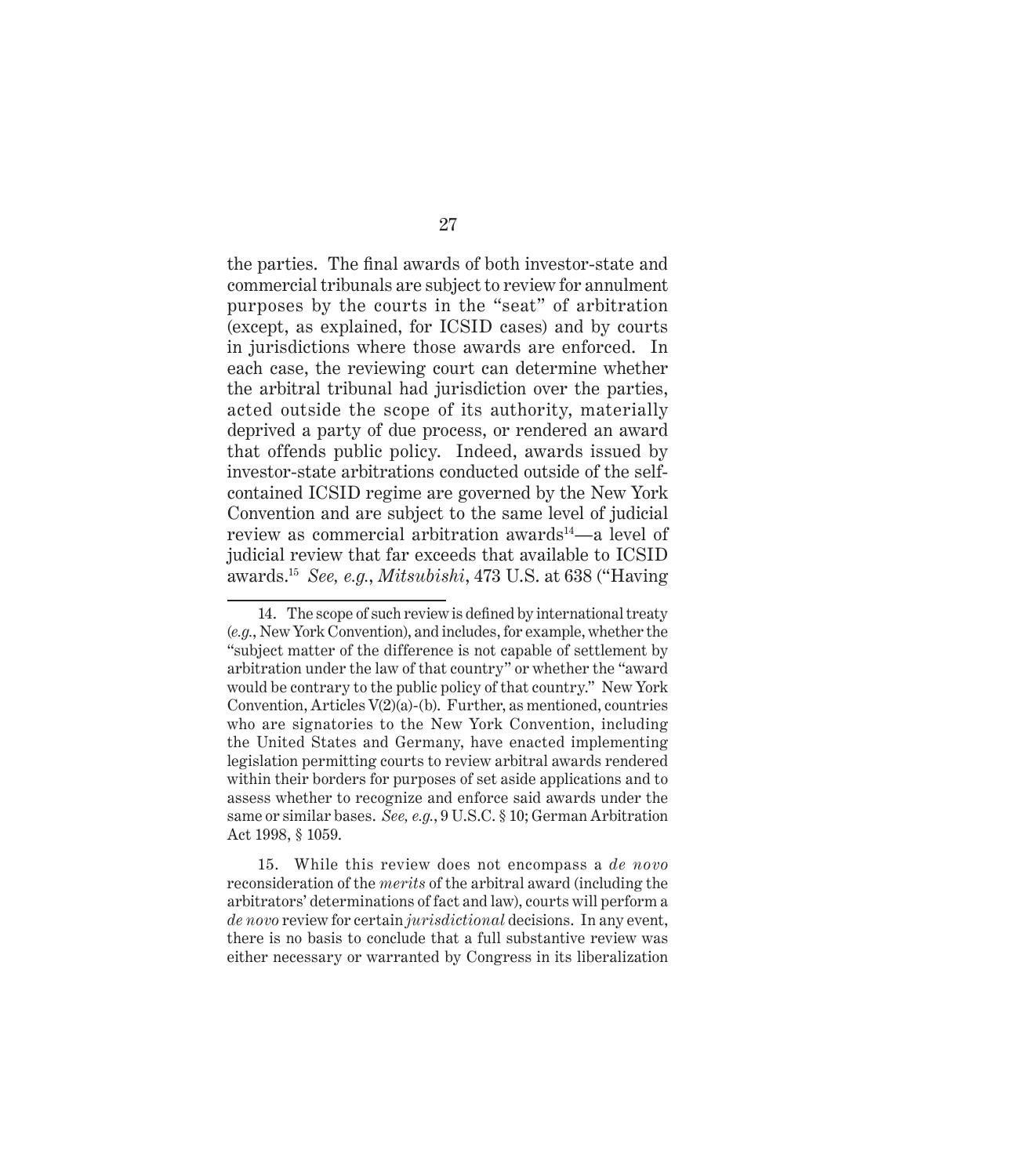the parties. The final awards of both investor-state and commercial tribunals are subject to review for annulment purposes by the courts in the "seat" of arbitration (except, as explained, for ICSID cases) and by courts in jurisdictions where those awards are enforced. In each case, the reviewing court can determine whether the arbitral tribunal had jurisdiction over the parties, acted outside the scope of its authority, materially deprived a party of due process, or rendered an award that offends public policy. Indeed, awards issued by investor-state arbitrations conducted outside of the selfcontained ICSID regime are governed by the New York Convention and are subject to the same level of judicial review as commercial arbitration awards<sup>14</sup>—a level of judicial review that far exceeds that available to ICSID awards.15 *See, e.g.*, *Mitsubishi*, 473 U.S. at 638 ("Having

<sup>14.</sup> The scope of such review is defined by international treaty (*e.g.*, New York Convention), and includes, for example, whether the "subject matter of the difference is not capable of settlement by arbitration under the law of that country" or whether the "award would be contrary to the public policy of that country." New York Convention, Articles  $V(2)(a)$ -(b). Further, as mentioned, countries who are signatories to the New York Convention, including the United States and Germany, have enacted implementing legislation permitting courts to review arbitral awards rendered within their borders for purposes of set aside applications and to assess whether to recognize and enforce said awards under the same or similar bases. *See, e.g.*, 9 U.S.C. § 10; German Arbitration Act 1998, § 1059.

<sup>15.</sup> While this review does not encompass a *de novo* reconsideration of the *merits* of the arbitral award (including the arbitrators' determinations of fact and law), courts will perform a *de novo* review for certain *jurisdictional* decisions. In any event, there is no basis to conclude that a full substantive review was either necessary or warranted by Congress in its liberalization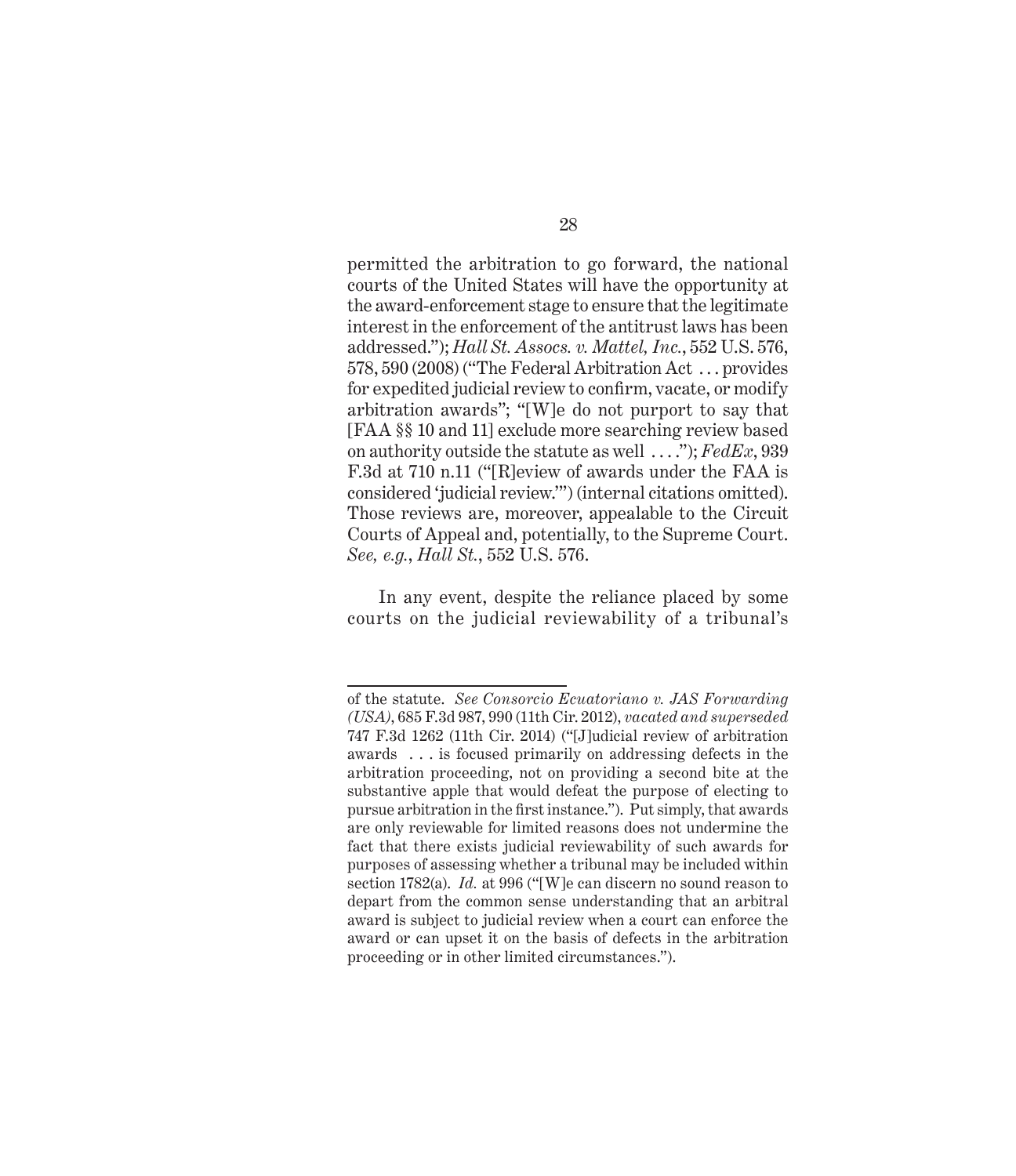permitted the arbitration to go forward, the national courts of the United States will have the opportunity at the award-enforcement stage to ensure that the legitimate interest in the enforcement of the antitrust laws has been addressed."); *Hall St. Assocs. v. Mattel, Inc.*, 552 U.S. 576, 578, 590 (2008) ("The Federal Arbitration Act . . . provides for expedited judicial review to confirm, vacate, or modify arbitration awards"; "[W]e do not purport to say that [FAA §§ 10 and 11] exclude more searching review based on authority outside the statute as well . . . ."); *FedEx*, 939 F.3d at 710 n.11 ("[R]eview of awards under the FAA is considered 'judicial review.'") (internal citations omitted). Those reviews are, moreover, appealable to the Circuit Courts of Appeal and, potentially, to the Supreme Court. *See, e.g.*, *Hall St.*, 552 U.S. 576.

In any event, despite the reliance placed by some courts on the judicial reviewability of a tribunal's

of the statute. *See Consorcio Ecuatoriano v. JAS Forwarding (USA)*, 685 F.3d 987, 990 (11th Cir. 2012), *vacated and superseded* 747 F.3d 1262 (11th Cir. 2014) ("[J]udicial review of arbitration awards . . . is focused primarily on addressing defects in the arbitration proceeding, not on providing a second bite at the substantive apple that would defeat the purpose of electing to pursue arbitration in the first instance."). Put simply, that awards are only reviewable for limited reasons does not undermine the fact that there exists judicial reviewability of such awards for purposes of assessing whether a tribunal may be included within section 1782(a). *Id.* at 996 ("[W]e can discern no sound reason to depart from the common sense understanding that an arbitral award is subject to judicial review when a court can enforce the award or can upset it on the basis of defects in the arbitration proceeding or in other limited circumstances.").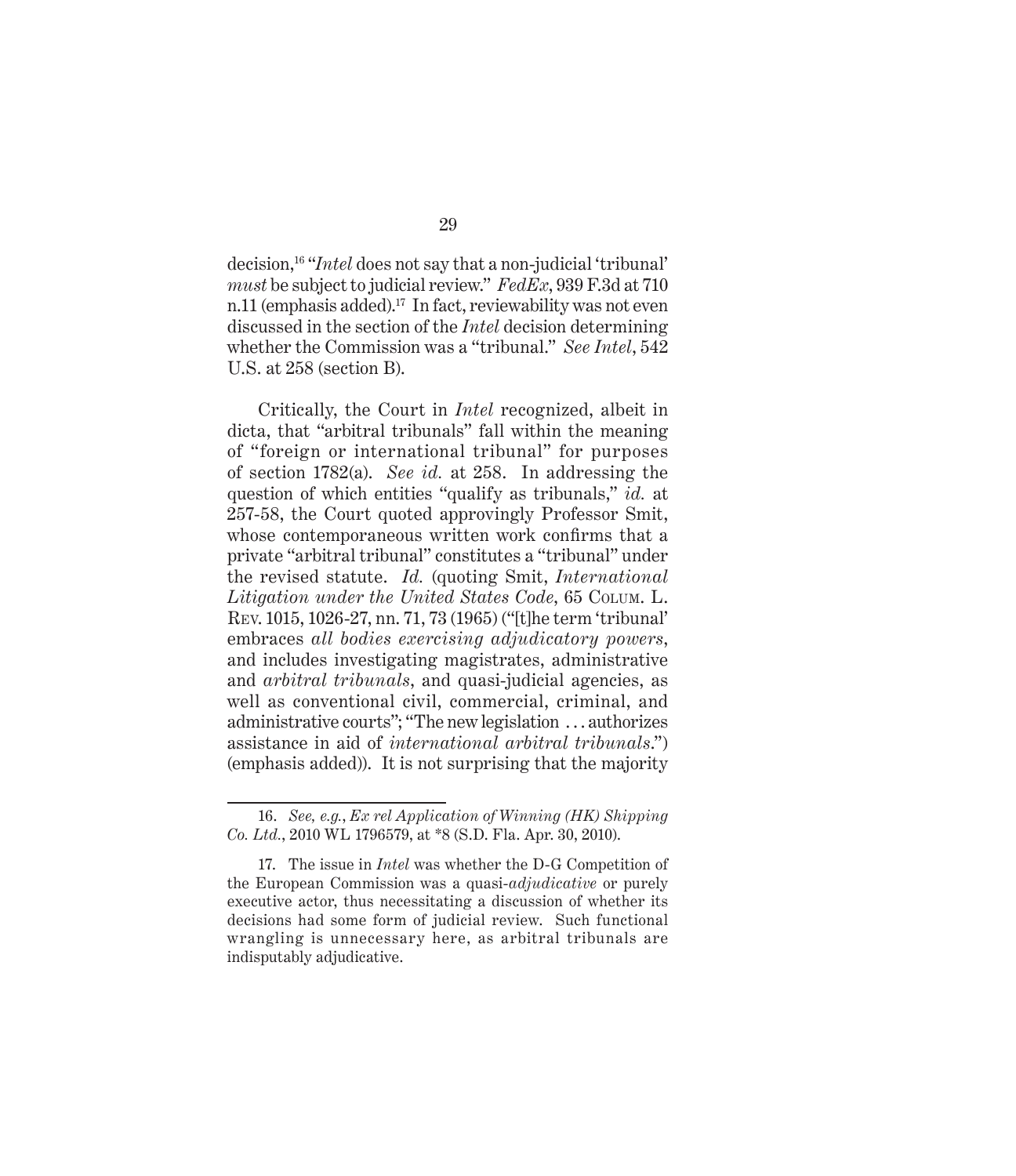decision,16 "*Intel* does not say that a non-judicial 'tribunal' *must* be subject to judicial review." *FedEx*, 939 F.3d at 710 n.11 (emphasis added).<sup>17</sup> In fact, reviewability was not even discussed in the section of the *Intel* decision determining whether the Commission was a "tribunal." *See Intel*, 542 U.S. at 258 (section B).

Critically, the Court in *Intel* recognized, albeit in dicta, that "arbitral tribunals" fall within the meaning of "foreign or international tribunal" for purposes of section 1782(a). *See id.* at 258. In addressing the question of which entities "qualify as tribunals," *id.* at 257-58, the Court quoted approvingly Professor Smit, whose contemporaneous written work confirms that a private "arbitral tribunal" constitutes a "tribunal" under the revised statute. *Id.* (quoting Smit, *International Litigation under the United States Code*, 65 Colum. L. Rev. 1015, 1026-27, nn. 71, 73 (1965) ("[t]he term 'tribunal' embraces *all bodies exercising adjudicatory powers*, and includes investigating magistrates, administrative and *arbitral tribunals*, and quasi-judicial agencies, as well as conventional civil, commercial, criminal, and administrative courts"; "The new legislation . . . authorizes assistance in aid of *international arbitral tribunals*.") (emphasis added)). It is not surprising that the majority

<sup>16.</sup> *See, e.g.*, *Ex rel Application of Winning (HK) Shipping Co. Ltd.*, 2010 WL 1796579, at \*8 (S.D. Fla. Apr. 30, 2010).

<sup>17.</sup> The issue in *Intel* was whether the D-G Competition of the European Commission was a quasi-*adjudicative* or purely executive actor, thus necessitating a discussion of whether its decisions had some form of judicial review. Such functional wrangling is unnecessary here, as arbitral tribunals are indisputably adjudicative.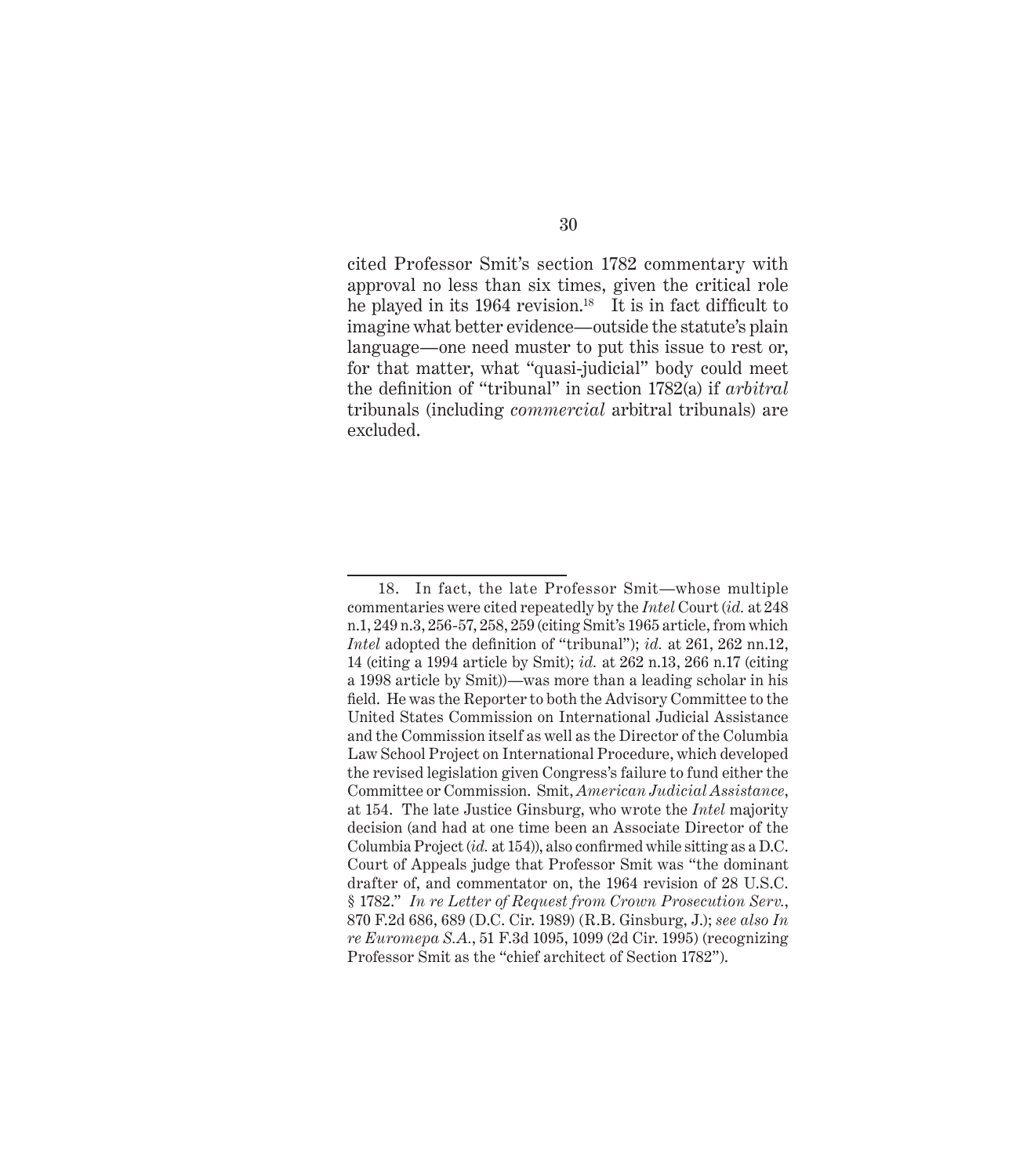cited Professor Smit's section 1782 commentary with approval no less than six times, given the critical role he played in its 1964 revision.<sup>18</sup> It is in fact difficult to imagine what better evidence—outside the statute's plain language—one need muster to put this issue to rest or, for that matter, what "quasi-judicial" body could meet the definition of "tribunal" in section 1782(a) if *arbitral* tribunals (including *commercial* arbitral tribunals) are excluded.

<sup>18.</sup> In fact, the late Professor Smit—whose multiple commentaries were cited repeatedly by the *Intel* Court (*id.* at 248 n.1, 249 n.3, 256-57, 258, 259 (citing Smit's 1965 article, from which *Intel* adopted the definition of "tribunal"); *id.* at 261, 262 nn.12, 14 (citing a 1994 article by Smit); *id.* at 262 n.13, 266 n.17 (citing a 1998 article by Smit))—was more than a leading scholar in his field. He was the Reporter to both the Advisory Committee to the United States Commission on International Judicial Assistance and the Commission itself as well as the Director of the Columbia Law School Project on International Procedure, which developed the revised legislation given Congress's failure to fund either the Committee or Commission. Smit, *American Judicial Assistance*, at 154. The late Justice Ginsburg, who wrote the *Intel* majority decision (and had at one time been an Associate Director of the Columbia Project (*id.* at 154)), also confirmed while sitting as a D.C. Court of Appeals judge that Professor Smit was "the dominant drafter of, and commentator on, the 1964 revision of 28 U.S.C. § 1782." *In re Letter of Request from Crown Prosecution Serv.*, 870 F.2d 686, 689 (D.C. Cir. 1989) (R.B. Ginsburg, J.); *see also In re Euromepa S.A.*, 51 F.3d 1095, 1099 (2d Cir. 1995) (recognizing Professor Smit as the "chief architect of Section 1782").